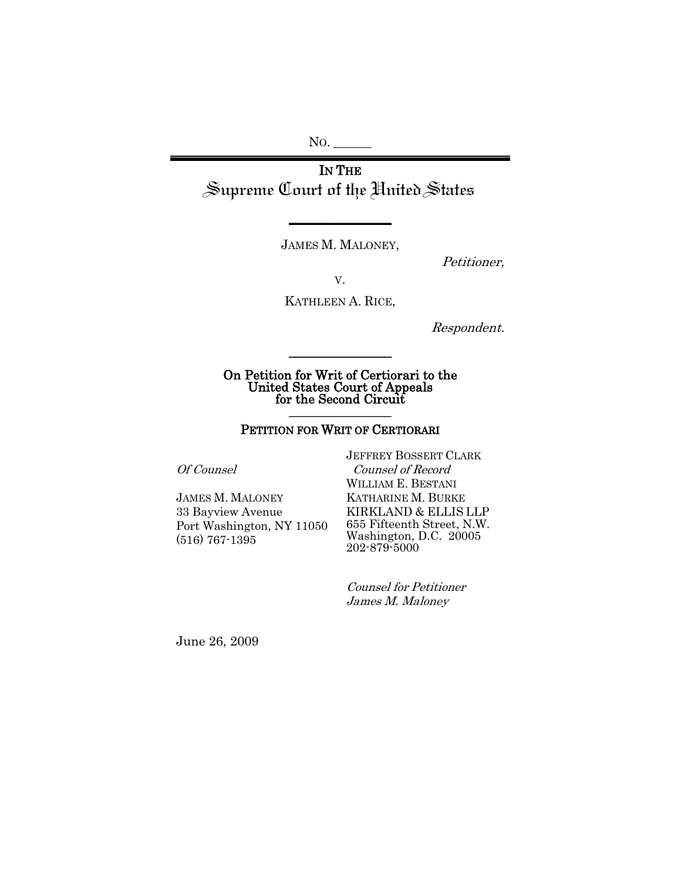NO. \_\_\_\_\_\_

IN THE Supreme Court of the United States

JAMES M. MALONEY,

**\_\_\_\_\_\_\_\_\_\_\_\_\_\_\_\_**

Petitioner,

V.

KATHLEEN A. RICE,

Respondent.

On Petition for Writ of Certiorari to the United States Court of Appeals for the Second Circuit  $\frac{1}{2}$  ,  $\frac{1}{2}$  ,  $\frac{1}{2}$  ,  $\frac{1}{2}$  ,  $\frac{1}{2}$  ,  $\frac{1}{2}$  ,  $\frac{1}{2}$  ,  $\frac{1}{2}$  ,  $\frac{1}{2}$ 

\_\_\_\_\_\_\_\_\_\_\_\_\_\_\_\_

#### PETITION FOR WRIT OF CERTIORARI

Of Counsel

JAMES M. MALONEY 33 Bayview Avenue Port Washington, NY 11050 (516) 767-1395

JEFFREY BOSSERT CLARK Counsel of Record WILLIAM E. BESTANI KATHARINE M. BURKE KIRKLAND & ELLIS LLP 655 Fifteenth Street, N.W. Washington, D.C. 20005 202-879-5000

Counsel for Petitioner James M. Maloney

June 26, 2009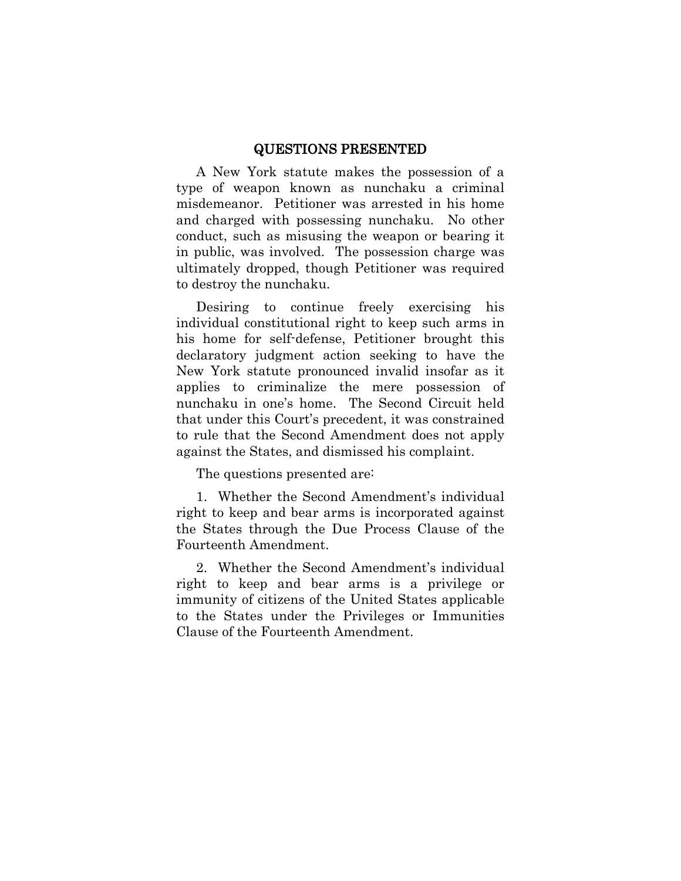#### QUESTIONS PRESENTED

<span id="page-1-0"></span>A New York statute makes the possession of a type of weapon known as nunchaku a criminal misdemeanor. Petitioner was arrested in his home and charged with possessing nunchaku. No other conduct, such as misusing the weapon or bearing it in public, was involved. The possession charge was ultimately dropped, though Petitioner was required to destroy the nunchaku.

Desiring to continue freely exercising his individual constitutional right to keep such arms in his home for self-defense, Petitioner brought this declaratory judgment action seeking to have the New York statute pronounced invalid insofar as it applies to criminalize the mere possession of nunchaku in one's home. The Second Circuit held that under this Court's precedent, it was constrained to rule that the Second Amendment does not apply against the States, and dismissed his complaint.

The questions presented are:

1. Whether the Second Amendment's individual right to keep and bear arms is incorporated against the States through the Due Process Clause of the Fourteenth Amendment.

2. Whether the Second Amendment's individual right to keep and bear arms is a privilege or immunity of citizens of the United States applicable to the States under the Privileges or Immunities Clause of the Fourteenth Amendment.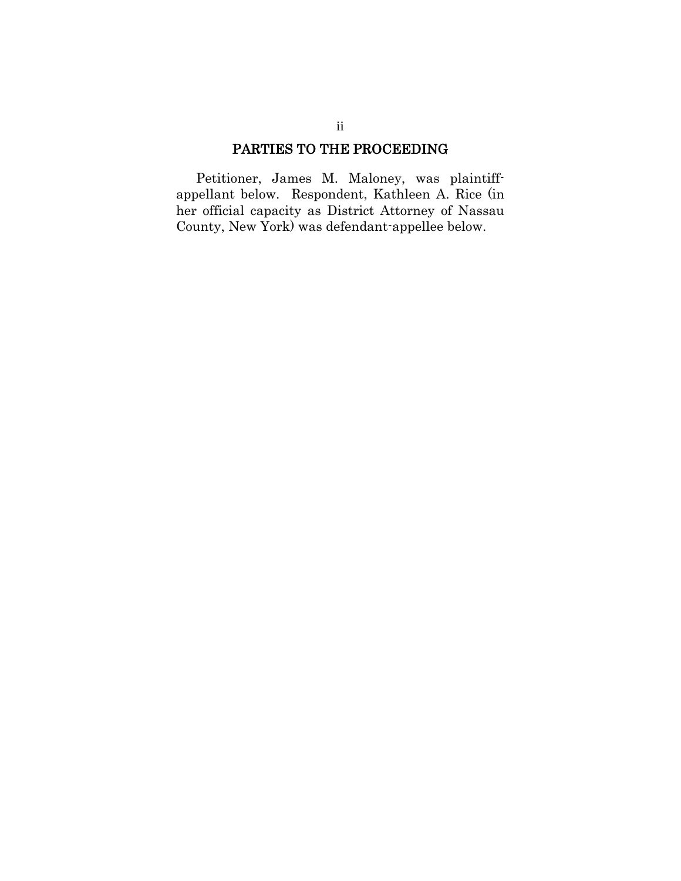### PARTIES TO THE PROCEEDING

Petitioner, James M. Maloney, was plaintiffappellant below. Respondent, Kathleen A. Rice (in her official capacity as District Attorney of Nassau County, New York) was defendant-appellee below.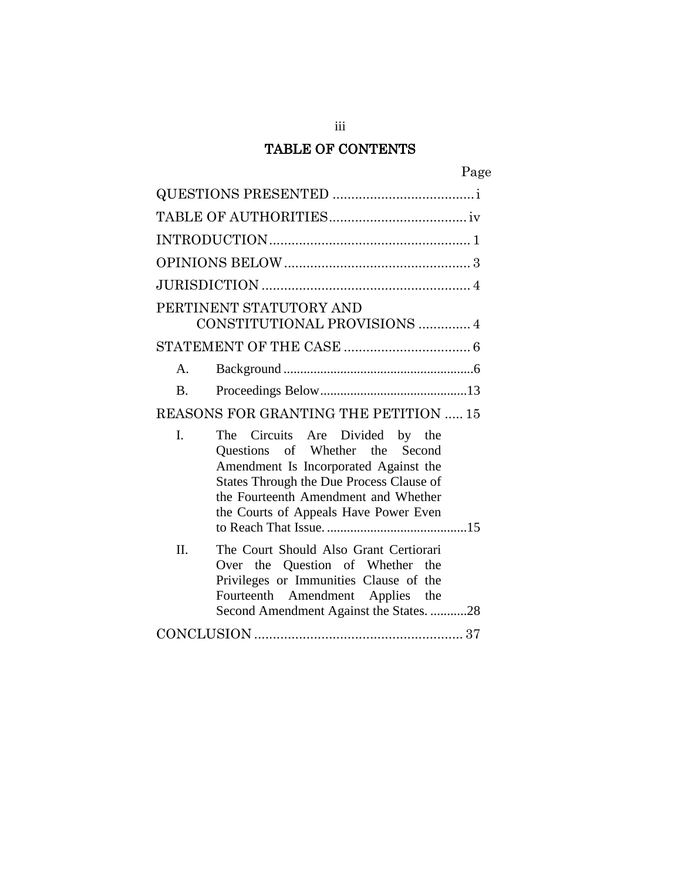# TABLE OF CONTENTS

| PERTINENT STATUTORY AND<br>CONSTITUTIONAL PROVISIONS  4                                                                                                                                                                                       |  |
|-----------------------------------------------------------------------------------------------------------------------------------------------------------------------------------------------------------------------------------------------|--|
|                                                                                                                                                                                                                                               |  |
| $\mathbf{A}$                                                                                                                                                                                                                                  |  |
| $\mathbf{B}$                                                                                                                                                                                                                                  |  |
| REASONS FOR GRANTING THE PETITION  15                                                                                                                                                                                                         |  |
| L<br>The Circuits Are Divided by the<br>Questions of Whether the Second<br>Amendment Is Incorporated Against the<br>States Through the Due Process Clause of<br>the Fourteenth Amendment and Whether<br>the Courts of Appeals Have Power Even |  |
| Π.<br>The Court Should Also Grant Certiorari<br>Over the Question of Whether the<br>Privileges or Immunities Clause of the<br>Fourteenth Amendment Applies the<br>Second Amendment Against the States. 28                                     |  |
|                                                                                                                                                                                                                                               |  |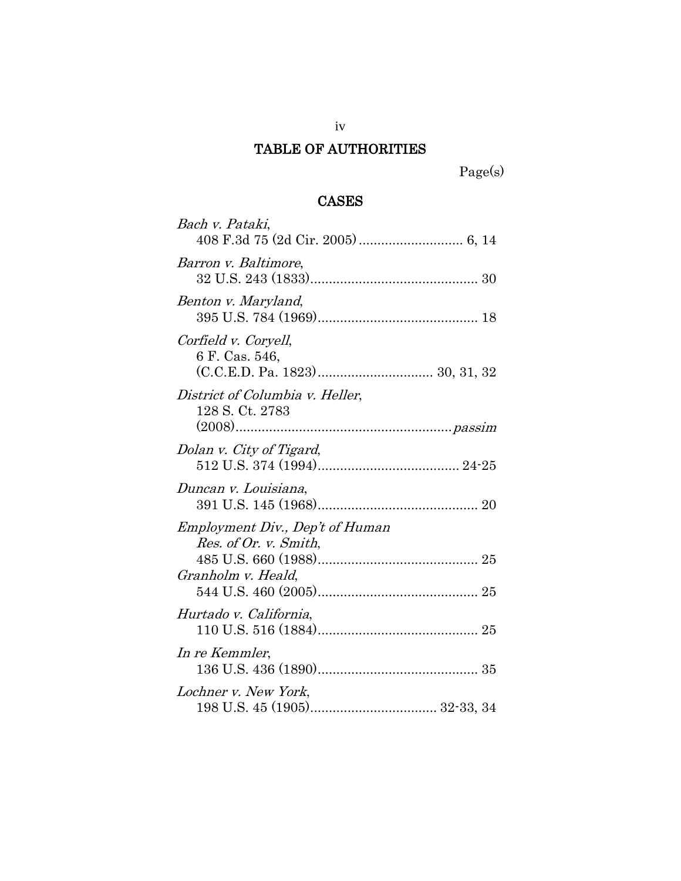## <span id="page-4-0"></span>TABLE OF AUTHORITIES

Page(s)

## CASES

| Bach v. Pataki,                                                                       |
|---------------------------------------------------------------------------------------|
| Barron v. Baltimore,                                                                  |
| Benton v. Maryland,                                                                   |
| Corfield v. Coryell,<br>6 F. Cas. 546,                                                |
| District of Columbia v. Heller,<br>128 S. Ct. 2783                                    |
| Dolan v. City of Tigard,                                                              |
| Duncan v. Louisiana,                                                                  |
| <i>Employment Div., Dep't of Human</i><br>Res. of Or. v. Smith,<br>Granholm v. Heald, |
| Hurtado v. California,                                                                |
| In re Kemmler,                                                                        |
| Lochner v. New York,                                                                  |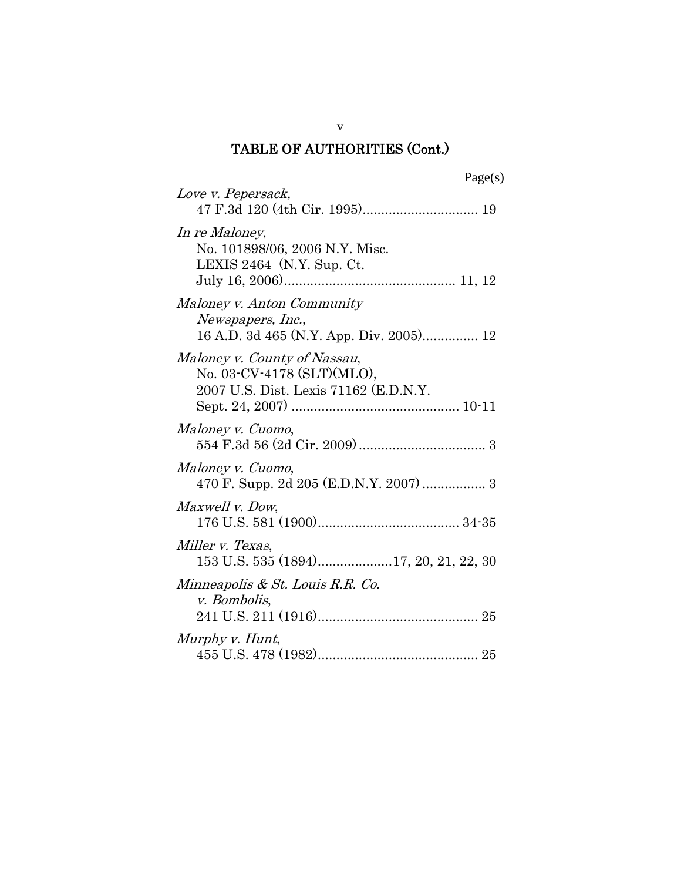v

| Love v. Pepersack,                                                                                  |
|-----------------------------------------------------------------------------------------------------|
| In re Maloney,<br>No. 101898/06, 2006 N.Y. Misc.<br>LEXIS 2464 (N.Y. Sup. Ct.                       |
| Maloney v. Anton Community<br>Newspapers, Inc.,<br>16 A.D. 3d 465 (N.Y. App. Div. 2005) 12          |
| Maloney v. County of Nassau,<br>No. 03-CV-4178 (SLT)(MLO),<br>2007 U.S. Dist. Lexis 71162 (E.D.N.Y. |
| Maloney v. Cuomo,                                                                                   |
| Maloney v. Cuomo,<br>470 F. Supp. 2d 205 (E.D.N.Y. 2007)  3                                         |
| Maxwell v. Dow,                                                                                     |
| Miller v. Texas,<br>153 U.S. 535 (1894)17, 20, 21, 22, 30                                           |
| Minneapolis & St. Louis R.R. Co.<br>v. Bombolis,                                                    |
| Murphy v. Hunt,                                                                                     |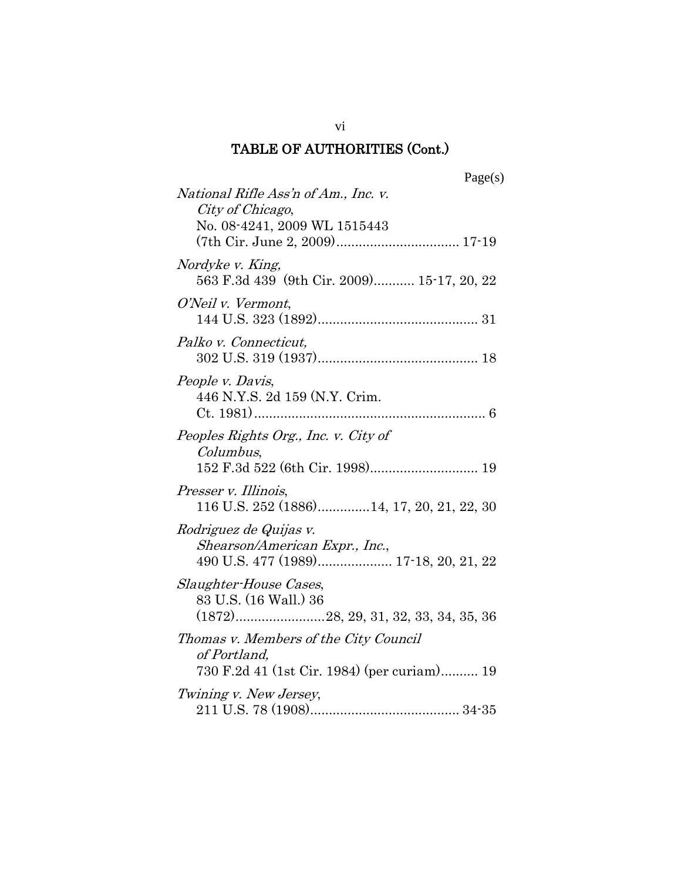| Page(s)                                                                                              |
|------------------------------------------------------------------------------------------------------|
| National Rifle Ass'n of Am., Inc. v.<br>City of Chicago,<br>No. 08-4241, 2009 WL 1515443             |
|                                                                                                      |
| Nordyke v. King,<br>563 F.3d 439 (9th Cir. 2009) 15-17, 20, 22                                       |
| O'Neil v. Vermont,                                                                                   |
| Palko v. Connecticut,                                                                                |
| People v. Davis,<br>446 N.Y.S. 2d 159 (N.Y. Crim.                                                    |
| Peoples Rights Org., Inc. v. City of<br>Columbus,                                                    |
| Presser v. Illinois,<br>116 U.S. 252 (1886)14, 17, 20, 21, 22, 30                                    |
| Rodriguez de Quijas v.<br>Shearson/American Expr., Inc.,                                             |
| Slaughter-House Cases,<br>83 U.S. (16 Wall.) 36                                                      |
| Thomas v. Members of the City Council<br>of Portland,<br>730 F.2d 41 (1st Cir. 1984) (per curiam) 19 |
| Twining v. New Jersey,                                                                               |

vi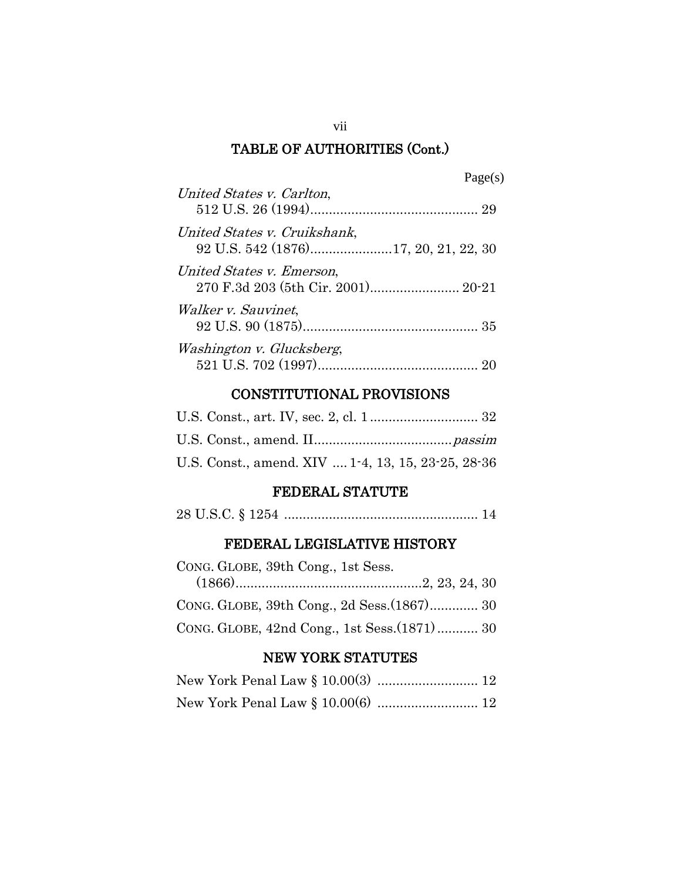| L.<br>70.<br>reι<br>S.<br>н |
|-----------------------------|
|-----------------------------|

| United States v. Carlton,                                            |
|----------------------------------------------------------------------|
| United States v. Cruikshank,<br>92 U.S. 542 (1876)17, 20, 21, 22, 30 |
| United States v. Emerson,<br>270 F.3d 203 (5th Cir. 2001) 20-21      |
| Walker v. Sauvinet,                                                  |
| Washington v. Glucksberg,                                            |

## CONSTITUTIONAL PROVISIONS

| U.S. Const., amend. XIV  1-4, 13, 15, 23-25, 28-36 |  |
|----------------------------------------------------|--|

## FEDERAL STATUTE

|--|--|--|--|--|--|--|

## FEDERAL LEGISLATIVE HISTORY

| CONG. GLOBE, 39th Cong., 1st Sess. |                                              |
|------------------------------------|----------------------------------------------|
|                                    |                                              |
|                                    |                                              |
|                                    | CONG. GLOBE, 42nd Cong., 1st Sess. (1871) 30 |

## NEW YORK STATUTES

vii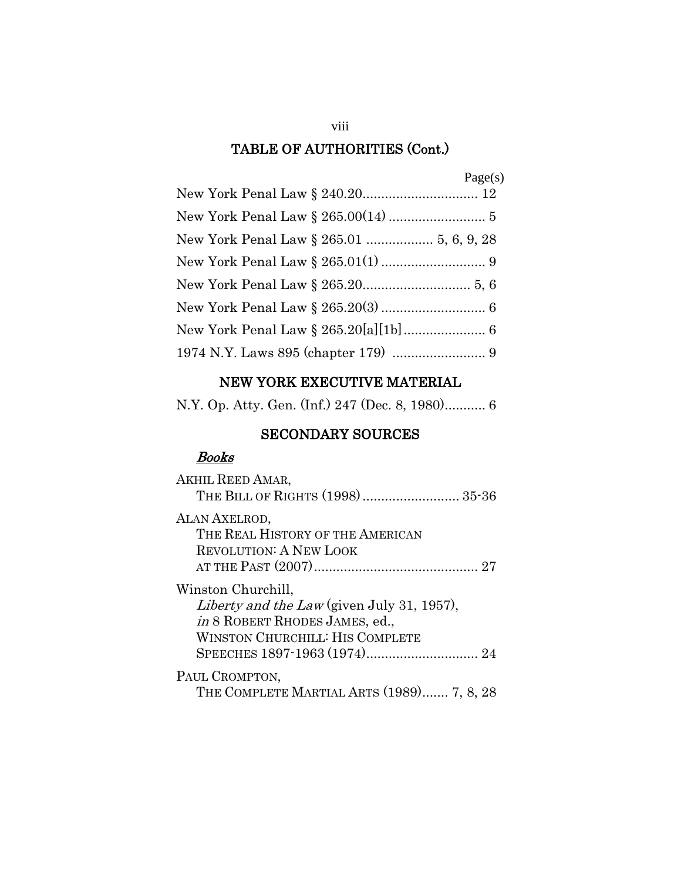## NEW YORK EXECUTIVE MATERIAL

N.Y. Op. Atty. Gen. (Inf.) 247 (Dec. 8, 1980)........... 6

## SECONDARY SOURCES

### Books

| AKHIL REED AMAR,                                                                                                                                    |
|-----------------------------------------------------------------------------------------------------------------------------------------------------|
| ALAN AXELROD,<br>THE REAL HISTORY OF THE AMERICAN<br>REVOLUTION: A NEW LOOK                                                                         |
| Winston Churchill,<br>Liberty and the Law (given July 31, 1957),<br><i>in</i> 8 ROBERT RHODES JAMES, ed.,<br><b>WINSTON CHURCHILL: HIS COMPLETE</b> |
| PAUL CROMPTON,<br>THE COMPLETE MARTIAL ARTS (1989) 7, 8, 28                                                                                         |

viii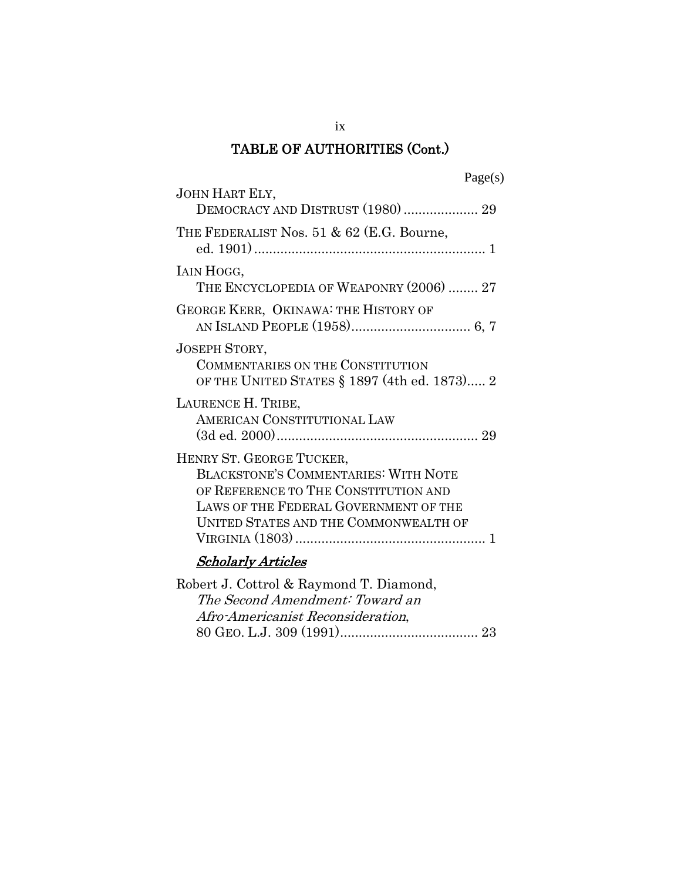ix

| JOHN HART ELY,<br>DEMOCRACY AND DISTRUST (1980)  29                                                                                                                                               |
|---------------------------------------------------------------------------------------------------------------------------------------------------------------------------------------------------|
| THE FEDERALIST Nos. 51 & 62 (E.G. Bourne,                                                                                                                                                         |
| IAIN HOGG,<br>THE ENCYCLOPEDIA OF WEAPONRY (2006)  27                                                                                                                                             |
| GEORGE KERR, OKINAWA: THE HISTORY OF                                                                                                                                                              |
| <b>JOSEPH STORY,</b><br><b>COMMENTARIES ON THE CONSTITUTION</b><br>OF THE UNITED STATES § 1897 (4th ed. 1873) 2                                                                                   |
| LAURENCE H. TRIBE,<br>AMERICAN CONSTITUTIONAL LAW                                                                                                                                                 |
| HENRY ST. GEORGE TUCKER,<br><b>BLACKSTONE'S COMMENTARIES: WITH NOTE</b><br>OF REFERENCE TO THE CONSTITUTION AND<br>LAWS OF THE FEDERAL GOVERNMENT OF THE<br>UNITED STATES AND THE COMMONWEALTH OF |
| <b>Scholarly Articles</b>                                                                                                                                                                         |
| Robert J. Cottrol & Raymond T. Diamond,<br>The Second Amendment: Toward an                                                                                                                        |

Afro-Americanist Reconsideration,

80 GEO. L.J. 309 (1991)..................................... 23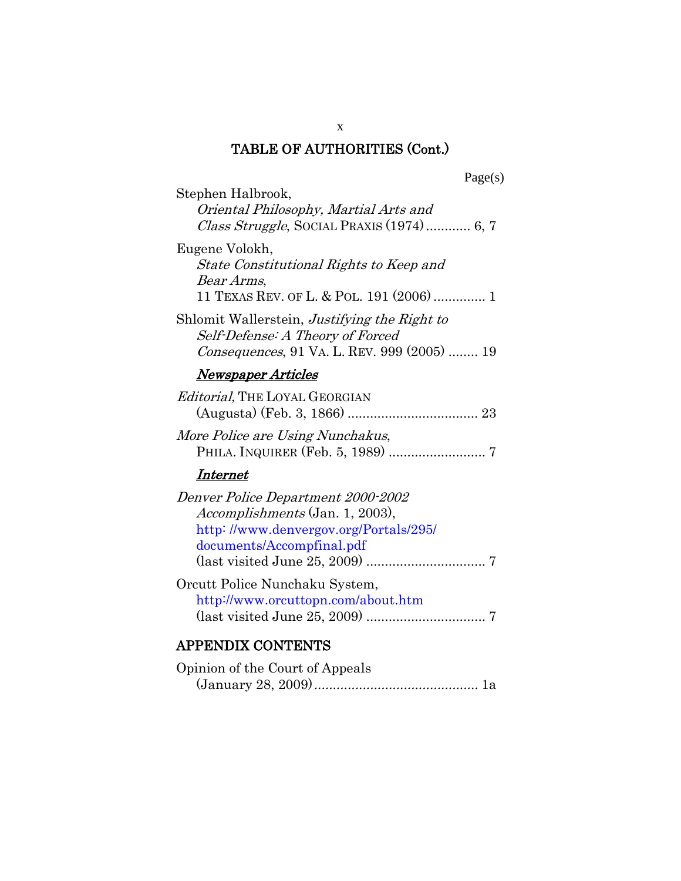| Stephen Halbrook,<br>Oriental Philosophy, Martial Arts and<br>Class Struggle, SOCIAL PRAXIS (1974) 6, 7                                            |
|----------------------------------------------------------------------------------------------------------------------------------------------------|
| Eugene Volokh,<br>State Constitutional Rights to Keep and<br>Bear Arms,<br>11 TEXAS REV. OF L. & POL. 191 (2006)  1                                |
| Shlomit Wallerstein, Justifying the Right to<br>Self-Defense: A Theory of Forced<br>Consequences, 91 VA. L. REV. 999 (2005)  19                    |
| <b>Newspaper Articles</b>                                                                                                                          |
| <i>Editorial</i> , THE LOYAL GEORGIAN                                                                                                              |
| More Police are Using Nunchakus,                                                                                                                   |
| Internet                                                                                                                                           |
| Denver Police Department 2000-2002<br><i>Accomplishments</i> (Jan. 1, 2003),<br>http://www.denvergov.org/Portals/295/<br>documents/Accompfinal.pdf |
| Orcutt Police Nunchaku System,<br>http://www.orcuttopn.com/about.htm                                                                               |
| <b>APPENDIX CONTENTS</b>                                                                                                                           |
|                                                                                                                                                    |

| Opinion of the Court of Appeals |  |
|---------------------------------|--|
|                                 |  |

x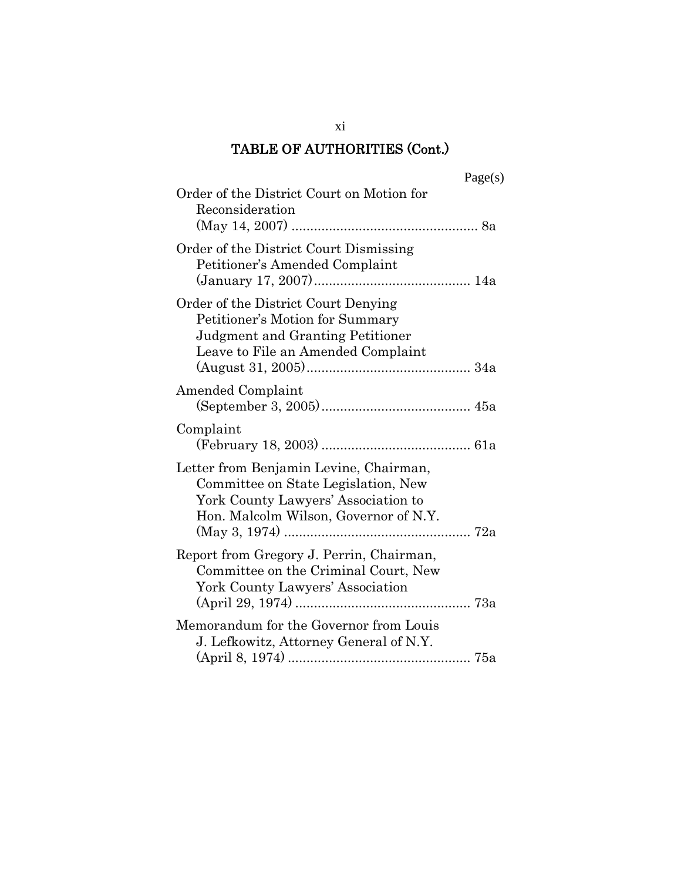|                                                                                                                                                               | Page(s) |
|---------------------------------------------------------------------------------------------------------------------------------------------------------------|---------|
| Order of the District Court on Motion for<br>Reconsideration                                                                                                  |         |
| Order of the District Court Dismissing<br>Petitioner's Amended Complaint                                                                                      |         |
| Order of the District Court Denying<br>Petitioner's Motion for Summary<br>Judgment and Granting Petitioner<br>Leave to File an Amended Complaint              |         |
| Amended Complaint                                                                                                                                             |         |
| Complaint                                                                                                                                                     |         |
| Letter from Benjamin Levine, Chairman,<br>Committee on State Legislation, New<br>York County Lawyers' Association to<br>Hon. Malcolm Wilson, Governor of N.Y. |         |
| Report from Gregory J. Perrin, Chairman,<br>Committee on the Criminal Court, New<br>York County Lawyers' Association                                          |         |
| Memorandum for the Governor from Louis<br>J. Lefkowitz, Attorney General of N.Y.                                                                              |         |

xi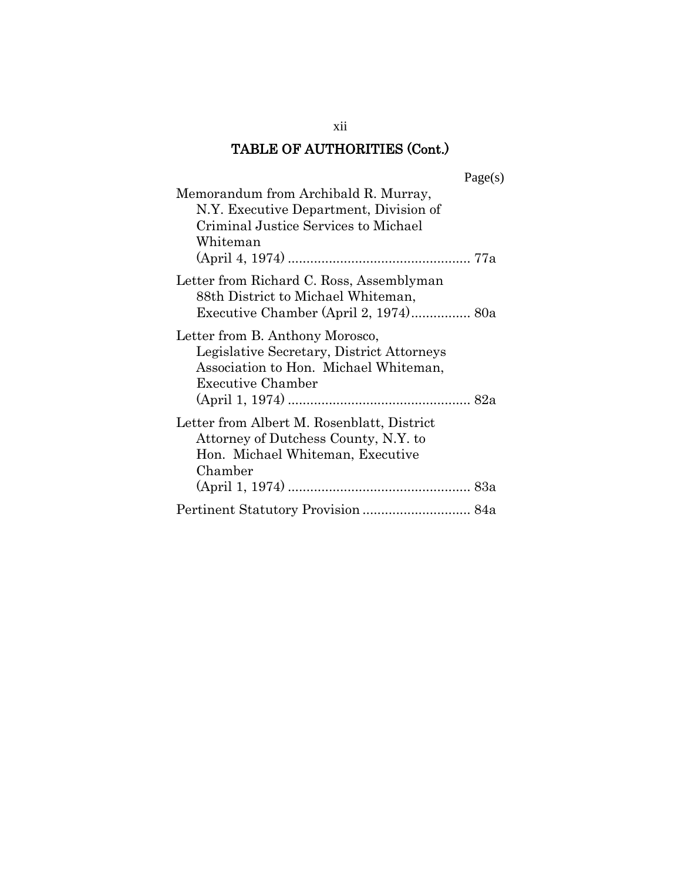| L.<br>age |  |
|-----------|--|
|-----------|--|

| Memorandum from Archibald R. Murray,<br>N.Y. Executive Department, Division of<br>Criminal Justice Services to Michael<br>Whiteman                |
|---------------------------------------------------------------------------------------------------------------------------------------------------|
|                                                                                                                                                   |
| Letter from Richard C. Ross, Assemblyman<br>88th District to Michael Whiteman,                                                                    |
| Letter from B. Anthony Morosco,<br>Legislative Secretary, District Attorneys<br>Association to Hon. Michael Whiteman,<br><b>Executive Chamber</b> |
| Letter from Albert M. Rosenblatt, District<br>Attorney of Dutchess County, N.Y. to<br>Hon. Michael Whiteman, Executive<br>Chamber                 |
| Pertinent Statutory Provision  84a                                                                                                                |

xii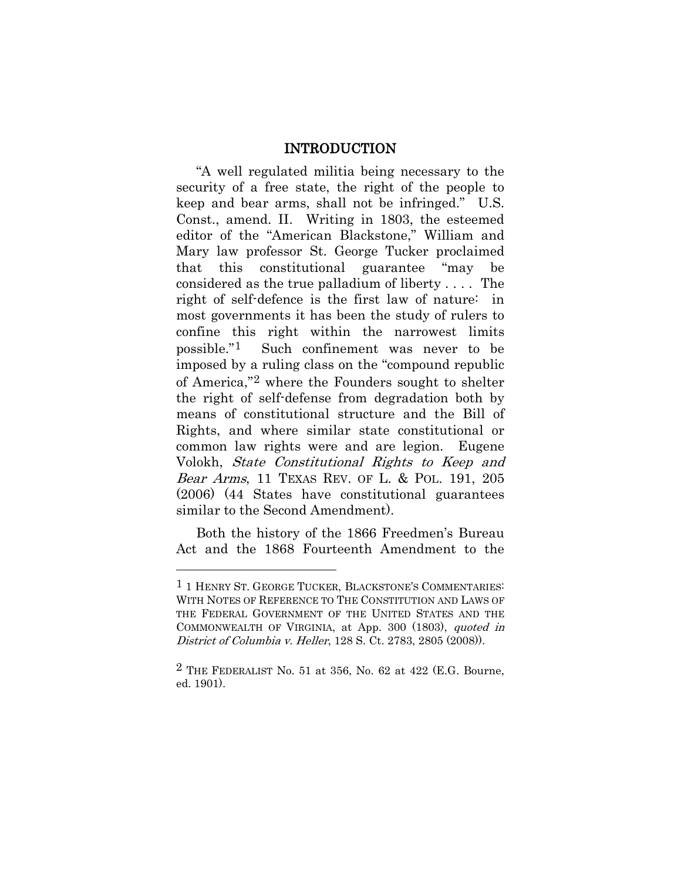#### INTRODUCTION

<span id="page-13-0"></span>"A well regulated militia being necessary to the security of a free state, the right of the people to keep and bear arms, shall not be infringed." U.S. Const., amend. II. Writing in 1803, the esteemed editor of the "American Blackstone," William and Mary law professor St. George Tucker proclaimed that this constitutional guarantee "may be considered as the true palladium of liberty . . . . The right of self-defence is the first law of nature: in most governments it has been the study of rulers to confine this right within the narrowest limits possible."[1](#page-13-1) Such confinement was never to be imposed by a ruling class on the "compound republic of America,"[2](#page-13-2) where the Founders sought to shelter the right of self-defense from degradation both by means of constitutional structure and the Bill of Rights, and where similar state constitutional or common law rights were and are legion. Eugene Volokh, State Constitutional Rights to Keep and Bear Arms, 11 TEXAS REV. OF L. & POL. 191, 205 (2006) (44 States have constitutional guarantees similar to the Second Amendment).

Both the history of the 1866 Freedmen's Bureau Act and the 1868 Fourteenth Amendment to the

<span id="page-13-1"></span><sup>1</sup> 1 HENRY ST. GEORGE TUCKER, BLACKSTONE'S COMMENTARIES: WITH NOTES OF REFERENCE TO THE CONSTITUTION AND LAWS OF THE FEDERAL GOVERNMENT OF THE UNITED STATES AND THE COMMONWEALTH OF VIRGINIA, at App. 300 (1803), quoted in District of Columbia v. Heller, 128 S. Ct. 2783, 2805 (2008)).

<span id="page-13-2"></span><sup>&</sup>lt;sup>2</sup> THE FEDERALIST No. 51 at 356, No. 62 at 422 (E.G. Bourne, ed. 1901).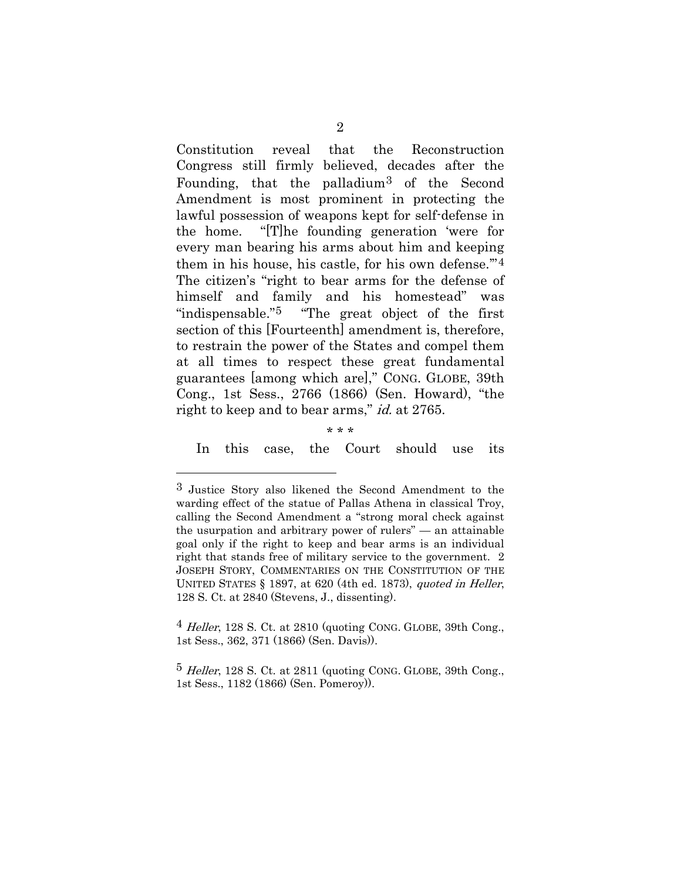Constitution reveal that the Reconstruction Congress still firmly believed, decades after the Founding, that the palladium[3](#page-14-0) of the Second Amendment is most prominent in protecting the lawful possession of weapons kept for self-defense in the home. "[T]he founding generation 'were for every man bearing his arms about him and keeping them in his house, his castle, for his own defense."<sup>4</sup> The citizen's "right to bear arms for the defense of himself and family and his homestead" was "indispensable."[5](#page-14-2) "The great object of the first section of this [Fourteenth] amendment is, therefore, to restrain the power of the States and compel them at all times to respect these great fundamental guarantees [among which are]," CONG. GLOBE, 39th Cong., 1st Sess., 2766 (1866) (Sen. Howard), "the right to keep and to bear arms," id. at 2765.

\* \* \*

 $\overline{a}$ 

In this case, the Court should use its

<span id="page-14-1"></span> $4$  Heller, 128 S. Ct. at 2810 (quoting CONG. GLOBE, 39th Cong., 1st Sess., 362, 371 (1866) (Sen. Davis)).

<span id="page-14-2"></span> $5$  Heller, 128 S. Ct. at 2811 (quoting CONG. GLOBE, 39th Cong., 1st Sess., 1182 (1866) (Sen. Pomeroy)).

<span id="page-14-0"></span><sup>3</sup> Justice Story also likened the Second Amendment to the warding effect of the statue of Pallas Athena in classical Troy, calling the Second Amendment a "strong moral check against the usurpation and arbitrary power of rulers" — an attainable goal only if the right to keep and bear arms is an individual right that stands free of military service to the government. 2 JOSEPH STORY, COMMENTARIES ON THE CONSTITUTION OF THE UNITED STATES § 1897, at 620 (4th ed. 1873), quoted in Heller, 128 S. Ct. at 2840 (Stevens, J., dissenting).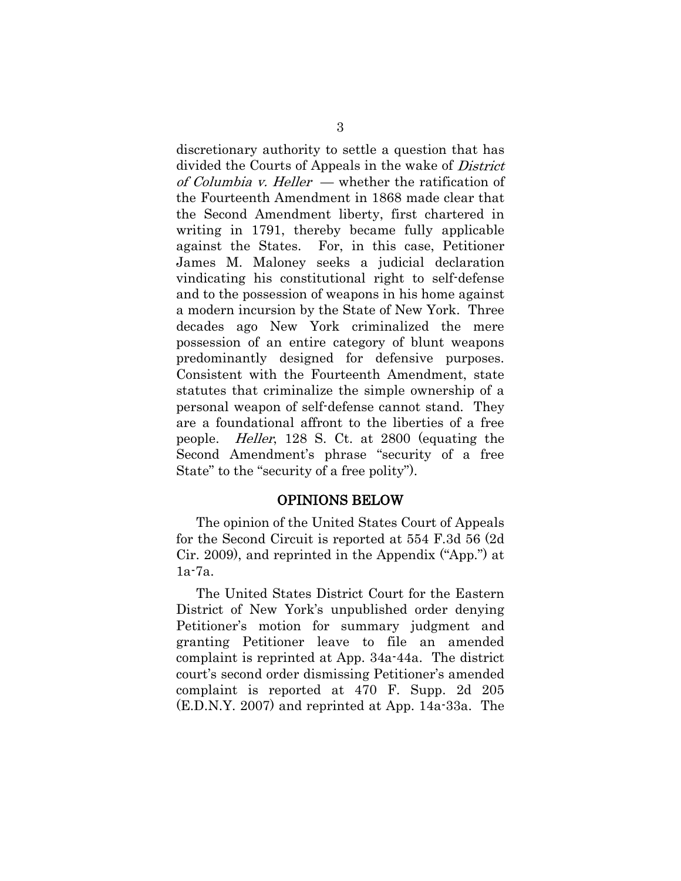discretionary authority to settle a question that has divided the Courts of Appeals in the wake of District of Columbia v. Heller — whether the ratification of the Fourteenth Amendment in 1868 made clear that the Second Amendment liberty, first chartered in writing in 1791, thereby became fully applicable against the States. For, in this case, Petitioner James M. Maloney seeks a judicial declaration vindicating his constitutional right to self-defense and to the possession of weapons in his home against a modern incursion by the State of New York. Three decades ago New York criminalized the mere possession of an entire category of blunt weapons predominantly designed for defensive purposes. Consistent with the Fourteenth Amendment, state statutes that criminalize the simple ownership of a personal weapon of self-defense cannot stand. They are a foundational affront to the liberties of a free people. Heller, 128 S. Ct. at 2800 (equating the Second Amendment's phrase "security of a free State" to the "security of a free polity").

#### OPINIONS BELOW

<span id="page-15-0"></span>The opinion of the United States Court of Appeals for the Second Circuit is reported at 554 F.3d 56 (2d Cir. 2009), and reprinted in the Appendix ("App.") at 1a-7a.

The United States District Court for the Eastern District of New York's unpublished order denying Petitioner's motion for summary judgment and granting Petitioner leave to file an amended complaint is reprinted at App. 34a-44a. The district court's second order dismissing Petitioner's amended complaint is reported at 470 F. Supp. 2d 205 (E.D.N.Y. 2007) and reprinted at App. 14a-33a. The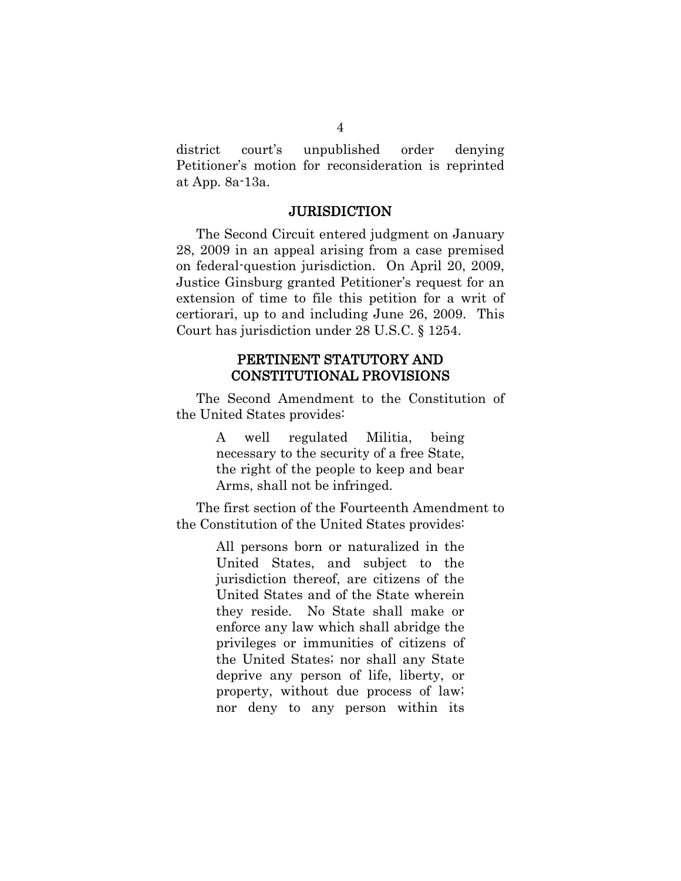district court's unpublished order denying Petitioner's motion for reconsideration is reprinted at App. 8a-13a.

#### **JURISDICTION**

<span id="page-16-0"></span>The Second Circuit entered judgment on January 28, 2009 in an appeal arising from a case premised on federal-question jurisdiction. On April 20, 2009, Justice Ginsburg granted Petitioner's request for an extension of time to file this petition for a writ of certiorari, up to and including June 26, 2009. This Court has jurisdiction under 28 U.S.C. § 1254.

#### PERTINENT STATUTORY AND CONSTITUTIONAL PROVISIONS

<span id="page-16-1"></span>The Second Amendment to the Constitution of the United States provides:

> A well regulated Militia, being necessary to the security of a free State, the right of the people to keep and bear Arms, shall not be infringed.

The first section of the Fourteenth Amendment to the Constitution of the United States provides:

> All persons born or naturalized in the United States, and subject to the jurisdiction thereof, are citizens of the United States and of the State wherein they reside. No State shall make or enforce any law which shall abridge the privileges or immunities of citizens of the United States; nor shall any State deprive any person of life, liberty, or property, without due process of law; nor deny to any person within its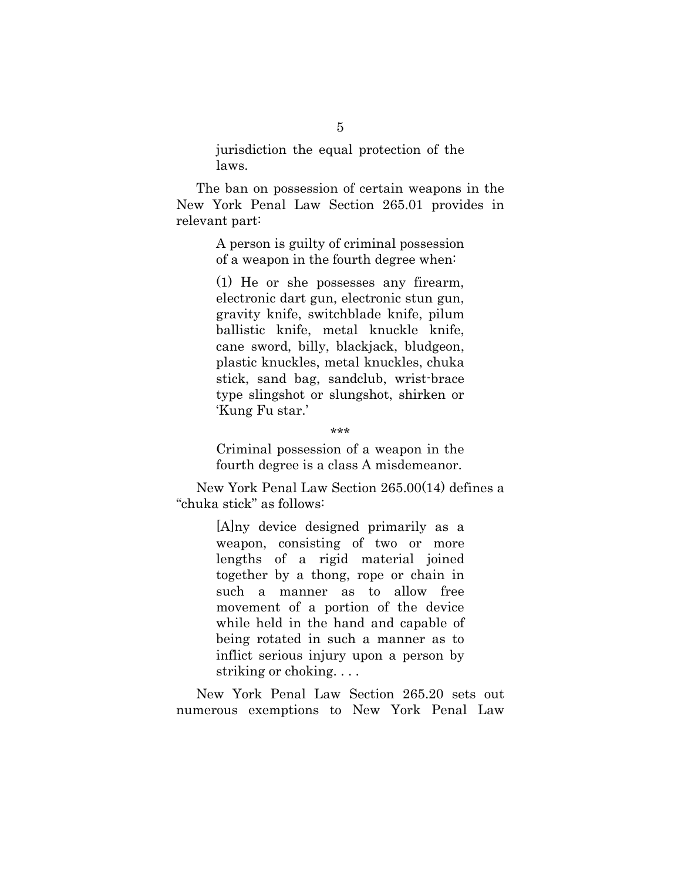jurisdiction the equal protection of the laws.

The ban on possession of certain weapons in the New York Penal Law Section 265.01 provides in relevant part:

> A person is guilty of criminal possession of a weapon in the fourth degree when:

(1) He or she possesses any firearm, electronic dart gun, electronic stun gun, gravity knife, switchblade knife, pilum ballistic knife, metal knuckle knife, cane sword, billy, blackjack, bludgeon, plastic knuckles, metal knuckles, chuka stick, sand bag, sandclub, wrist-brace type slingshot or slungshot, shirken or 'Kung Fu star.'

Criminal possession of a weapon in the fourth degree is a class A misdemeanor.

New York Penal Law Section 265.00(14) defines a "chuka stick" as follows:

> [A]ny device designed primarily as a weapon, consisting of two or more lengths of a rigid material joined together by a thong, rope or chain in such a manner as to allow free movement of a portion of the device while held in the hand and capable of being rotated in such a manner as to inflict serious injury upon a person by striking or choking. . . .

New York Penal Law Section 265.20 sets out numerous exemptions to New York Penal Law

<sup>\*\*\*</sup>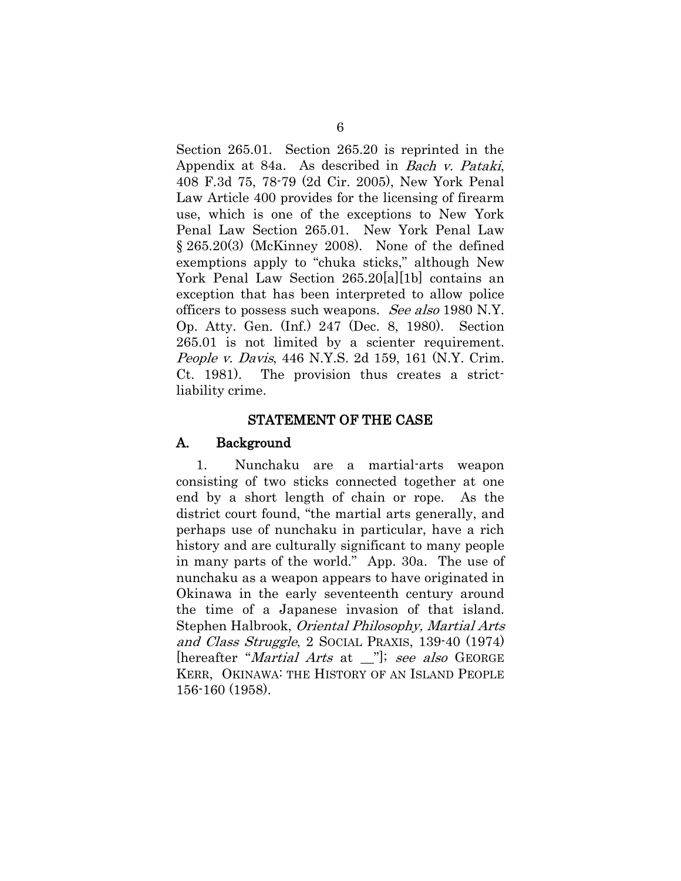Section 265.01. Section 265.20 is reprinted in the Appendix at 84a. As described in Bach v. Pataki, 408 F.3d 75, 78-79 (2d Cir. 2005), New York Penal Law Article 400 provides for the licensing of firearm use, which is one of the exceptions to New York Penal Law Section 265.01. New York Penal Law § 265.20(3) (McKinney 2008). None of the defined exemptions apply to "chuka sticks," although New York Penal Law Section 265.20[a][1b] contains an exception that has been interpreted to allow police officers to possess such weapons. See also 1980 N.Y. Op. Atty. Gen. (Inf.) 247 (Dec. 8, 1980). Section 265.01 is not limited by a scienter requirement. People v. Davis, 446 N.Y.S. 2d 159, 161 (N.Y. Crim. Ct. 1981). The provision thus creates a strictliability crime.

#### STATEMENT OF THE CASE

#### <span id="page-18-1"></span><span id="page-18-0"></span>A. Background

1. Nunchaku are a martial-arts weapon consisting of two sticks connected together at one end by a short length of chain or rope. As the district court found, "the martial arts generally, and perhaps use of nunchaku in particular, have a rich history and are culturally significant to many people in many parts of the world." App. 30a. The use of nunchaku as a weapon appears to have originated in Okinawa in the early seventeenth century around the time of a Japanese invasion of that island. Stephen Halbrook, Oriental Philosophy, Martial Arts and Class Struggle, 2 SOCIAL PRAXIS, 139-40 (1974) [hereafter "*Martial Arts* at \_"]; see also GEORGE KERR, OKINAWA: THE HISTORY OF AN ISLAND PEOPLE 156-160 (1958).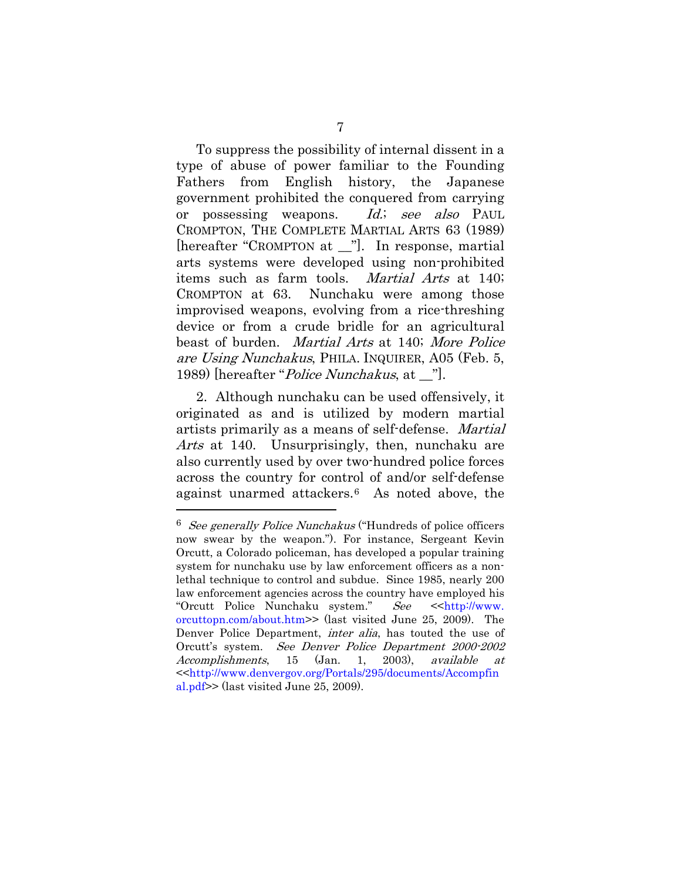To suppress the possibility of internal dissent in a type of abuse of power familiar to the Founding Fathers from English history, the Japanese government prohibited the conquered from carrying or possessing weapons. Id.; see also PAUL CROMPTON, THE COMPLETE MARTIAL ARTS 63 (1989) [hereafter "CROMPTON at \_\_"]. In response, martial arts systems were developed using non-prohibited items such as farm tools. Martial Arts at 140; CROMPTON at 63. Nunchaku were among those improvised weapons, evolving from a rice-threshing device or from a crude bridle for an agricultural beast of burden. Martial Arts at 140; More Police are Using Nunchakus, PHILA. INQUIRER, A05 (Feb. 5, 1989) [hereafter "*Police Nunchakus*, at \_"].

2. Although nunchaku can be used offensively, it originated as and is utilized by modern martial artists primarily as a means of self-defense. Martial Arts at 140. Unsurprisingly, then, nunchaku are also currently used by over two-hundred police forces across the country for control of and/or self-defense against unarmed attackers.[6](#page-19-0) As noted above, the

<span id="page-19-0"></span> $6$  See generally Police Nunchakus ("Hundreds of police officers now swear by the weapon."). For instance, Sergeant Kevin Orcutt, a Colorado policeman, has developed a popular training system for nunchaku use by law enforcement officers as a nonlethal technique to control and subdue. Since 1985, nearly 200 law enforcement agencies across the country have employed his "Orcutt Police Nunchaku system." See << http://www. orcuttopn.com/about.htm>> (last visited June 25, 2009). The Denver Police Department, inter alia, has touted the use of Orcutt's system. See Denver Police Department 2000-2002 Accomplishments, 15 (Jan. 1, 2003), available at <[<http://www.denvergov.org/Portals/295/documents/Accompfin](http://www.denvergov.org/Portals/295/documents/Accompfinal.pdf) [al.pdf>](http://www.denvergov.org/Portals/295/documents/Accompfinal.pdf)> (last visited June 25, 2009).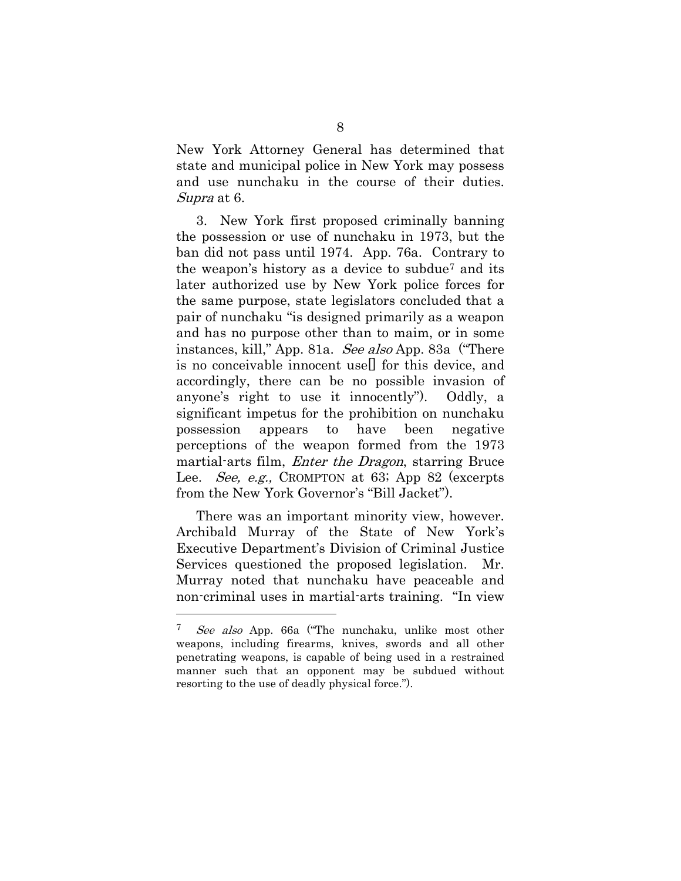New York Attorney General has determined that state and municipal police in New York may possess and use nunchaku in the course of their duties. Supra at 6.

3. New York first proposed criminally banning the possession or use of nunchaku in 1973, but the ban did not pass until 1974. App. 76a. Contrary to the weapon's history as a device to subdue[7](#page-20-0) and its later authorized use by New York police forces for the same purpose, state legislators concluded that a pair of nunchaku "is designed primarily as a weapon and has no purpose other than to maim, or in some instances, kill," App. 81a. See also App. 83a ("There is no conceivable innocent use[] for this device, and accordingly, there can be no possible invasion of anyone's right to use it innocently"). Oddly, a significant impetus for the prohibition on nunchaku possession appears to have been negative perceptions of the weapon formed from the 1973 martial-arts film, *Enter the Dragon*, starring Bruce Lee. *See, e.g.*, CROMPTON at 63; App 82 (excerpts from the New York Governor's "Bill Jacket").

There was an important minority view, however. Archibald Murray of the State of New York's Executive Department's Division of Criminal Justice Services questioned the proposed legislation. Mr. Murray noted that nunchaku have peaceable and non-criminal uses in martial-arts training. "In view

<span id="page-20-0"></span><sup>7</sup> See also App. 66a ("The nunchaku, unlike most other weapons, including firearms, knives, swords and all other penetrating weapons, is capable of being used in a restrained manner such that an opponent may be subdued without resorting to the use of deadly physical force.").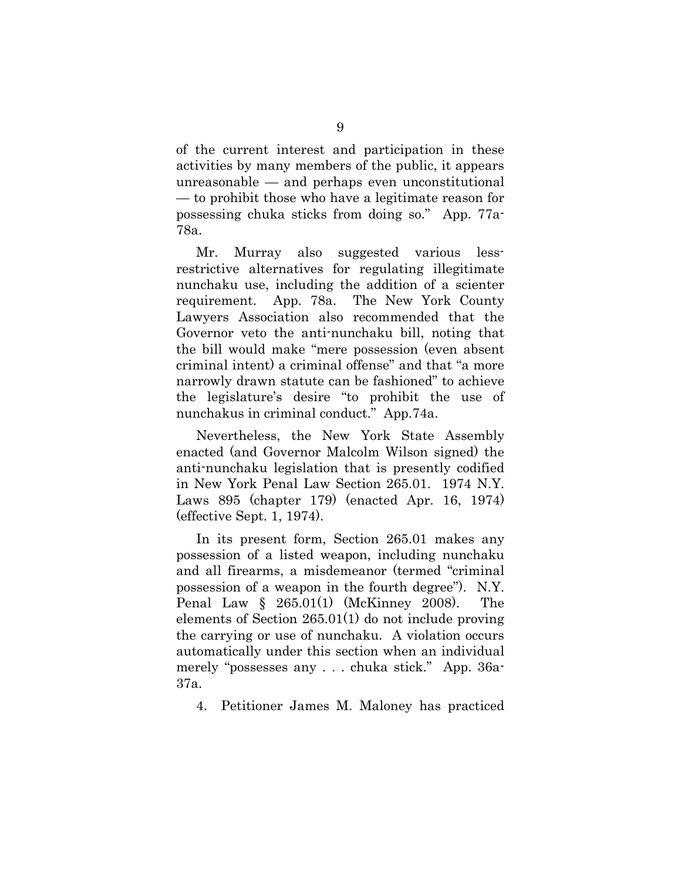of the current interest and participation in these activities by many members of the public, it appears unreasonable — and perhaps even unconstitutional — to prohibit those who have a legitimate reason for possessing chuka sticks from doing so." App. 77a-78a.

Mr. Murray also suggested various lessrestrictive alternatives for regulating illegitimate nunchaku use, including the addition of a scienter requirement. App. 78a. The New York County Lawyers Association also recommended that the Governor veto the anti-nunchaku bill, noting that the bill would make "mere possession (even absent criminal intent) a criminal offense" and that "a more narrowly drawn statute can be fashioned" to achieve the legislature's desire "to prohibit the use of nunchakus in criminal conduct." App.74a.

Nevertheless, the New York State Assembly enacted (and Governor Malcolm Wilson signed) the anti-nunchaku legislation that is presently codified in New York Penal Law Section 265.01. 1974 N.Y. Laws 895 (chapter 179) (enacted Apr. 16, 1974) (effective Sept. 1, 1974).

In its present form, Section 265.01 makes any possession of a listed weapon, including nunchaku and all firearms, a misdemeanor (termed "criminal possession of a weapon in the fourth degree"). N.Y. Penal Law § 265.01(1) (McKinney 2008). The elements of Section 265.01(1) do not include proving the carrying or use of nunchaku. A violation occurs automatically under this section when an individual merely "possesses any . . . chuka stick." App. 36a-37a.

4. Petitioner James M. Maloney has practiced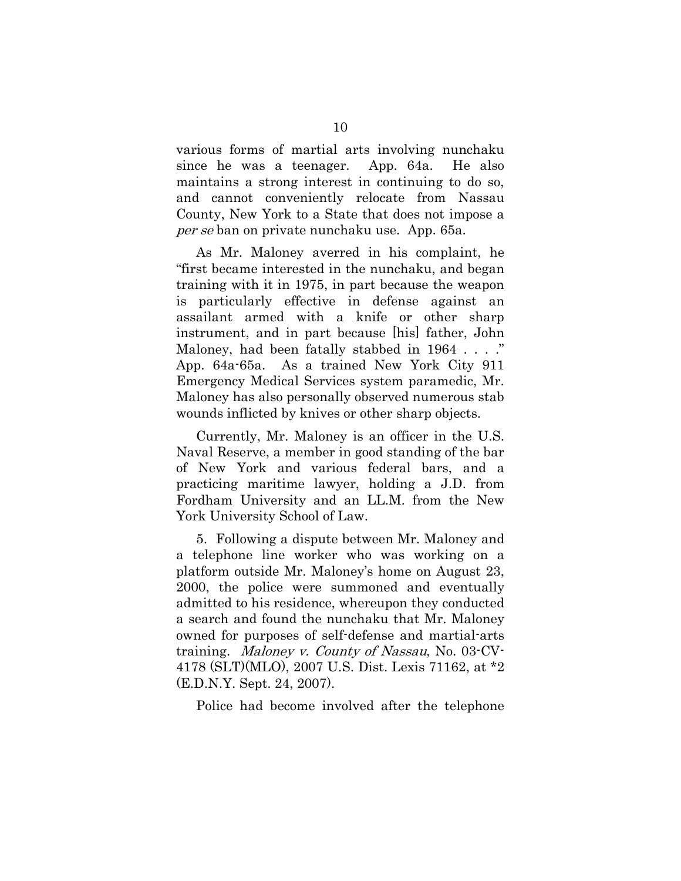various forms of martial arts involving nunchaku since he was a teenager. App. 64a. He also maintains a strong interest in continuing to do so, and cannot conveniently relocate from Nassau County, New York to a State that does not impose a per se ban on private nunchaku use. App. 65a.

As Mr. Maloney averred in his complaint, he "first became interested in the nunchaku, and began training with it in 1975, in part because the weapon is particularly effective in defense against an assailant armed with a knife or other sharp instrument, and in part because [his] father, John Maloney, had been fatally stabbed in 1964 . . . ." App. 64a-65a. As a trained New York City 911 Emergency Medical Services system paramedic, Mr. Maloney has also personally observed numerous stab wounds inflicted by knives or other sharp objects.

Currently, Mr. Maloney is an officer in the U.S. Naval Reserve, a member in good standing of the bar of New York and various federal bars, and a practicing maritime lawyer, holding a J.D. from Fordham University and an LL.M. from the New York University School of Law.

5. Following a dispute between Mr. Maloney and a telephone line worker who was working on a platform outside Mr. Maloney's home on August 23, 2000, the police were summoned and eventually admitted to his residence, whereupon they conducted a search and found the nunchaku that Mr. Maloney owned for purposes of self-defense and martial-arts training. Maloney v. County of Nassau, No. 03-CV-4178 (SLT)(MLO), 2007 U.S. Dist. Lexis 71162, at \*2 (E.D.N.Y. Sept. 24, 2007).

Police had become involved after the telephone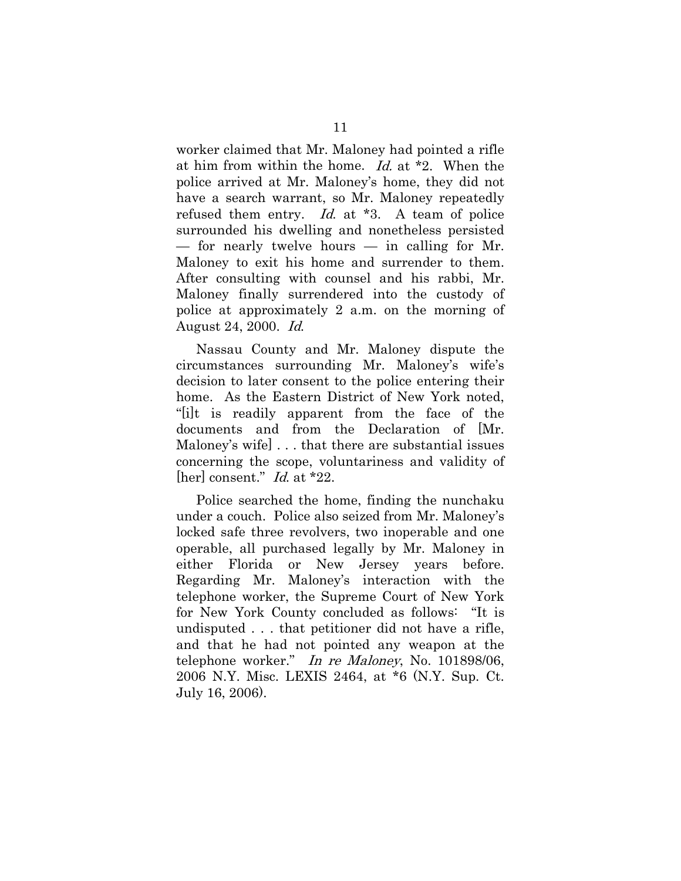worker claimed that Mr. Maloney had pointed a rifle at him from within the home. Id. at  $*2$ . When the police arrived at Mr. Maloney's home, they did not have a search warrant, so Mr. Maloney repeatedly refused them entry. Id. at \*3. A team of police surrounded his dwelling and nonetheless persisted  $-$  for nearly twelve hours  $-$  in calling for Mr. Maloney to exit his home and surrender to them. After consulting with counsel and his rabbi, Mr. Maloney finally surrendered into the custody of police at approximately 2 a.m. on the morning of August 24, 2000. Id.

Nassau County and Mr. Maloney dispute the circumstances surrounding Mr. Maloney's wife's decision to later consent to the police entering their home. As the Eastern District of New York noted, "[i]t is readily apparent from the face of the documents and from the Declaration of [Mr. Maloney's wife] . . . that there are substantial issues concerning the scope, voluntariness and validity of [her] consent." *Id.* at \*22.

Police searched the home, finding the nunchaku under a couch. Police also seized from Mr. Maloney's locked safe three revolvers, two inoperable and one operable, all purchased legally by Mr. Maloney in either Florida or New Jersey years before. Regarding Mr. Maloney's interaction with the telephone worker, the Supreme Court of New York for New York County concluded as follows: "It is undisputed . . . that petitioner did not have a rifle, and that he had not pointed any weapon at the telephone worker." In re Maloney, No. 101898/06, 2006 N.Y. Misc. LEXIS 2464, at \*6 (N.Y. Sup. Ct. July 16, 2006).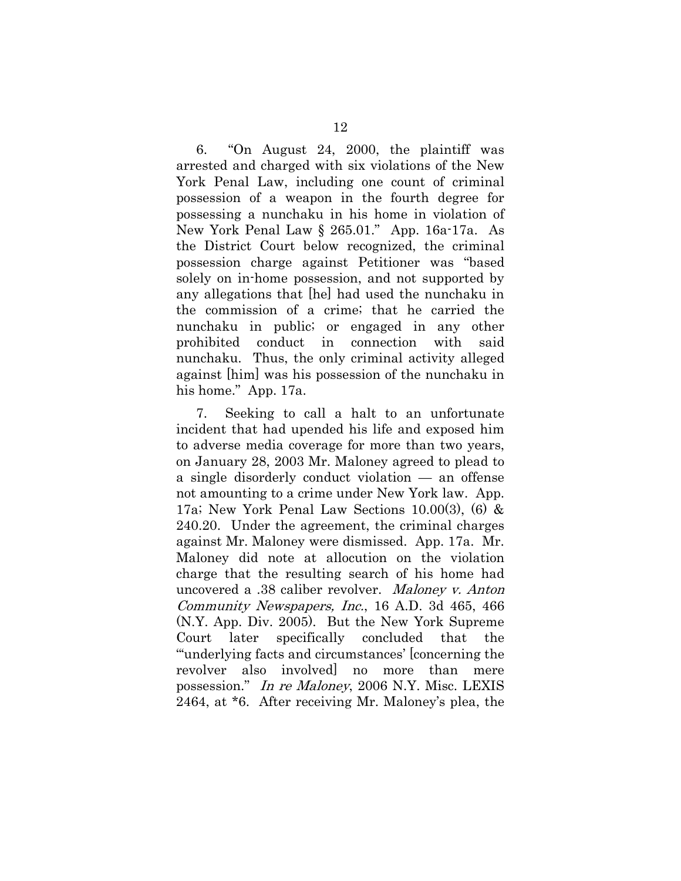6. "On August 24, 2000, the plaintiff was arrested and charged with six violations of the New York Penal Law, including one count of criminal possession of a weapon in the fourth degree for possessing a nunchaku in his home in violation of New York Penal Law § 265.01." App. 16a-17a. As the District Court below recognized, the criminal possession charge against Petitioner was "based solely on in-home possession, and not supported by any allegations that [he] had used the nunchaku in the commission of a crime; that he carried the nunchaku in public; or engaged in any other prohibited conduct in connection with said nunchaku. Thus, the only criminal activity alleged against [him] was his possession of the nunchaku in his home." App. 17a.

7. Seeking to call a halt to an unfortunate incident that had upended his life and exposed him to adverse media coverage for more than two years, on January 28, 2003 Mr. Maloney agreed to plead to a single disorderly conduct violation — an offense not amounting to a crime under New York law. App. 17a; New York Penal Law Sections 10.00(3), (6) & 240.20. Under the agreement, the criminal charges against Mr. Maloney were dismissed. App. 17a. Mr. Maloney did note at allocution on the violation charge that the resulting search of his home had uncovered a .38 caliber revolver. Maloney v. Anton Community Newspapers, Inc., 16 A.D. 3d 465, 466 (N.Y. App. Div. 2005). But the New York Supreme Court later specifically concluded that the "'underlying facts and circumstances' [concerning the revolver also involved] no more than mere possession." In re Maloney, 2006 N.Y. Misc. LEXIS 2464, at \*6. After receiving Mr. Maloney's plea, the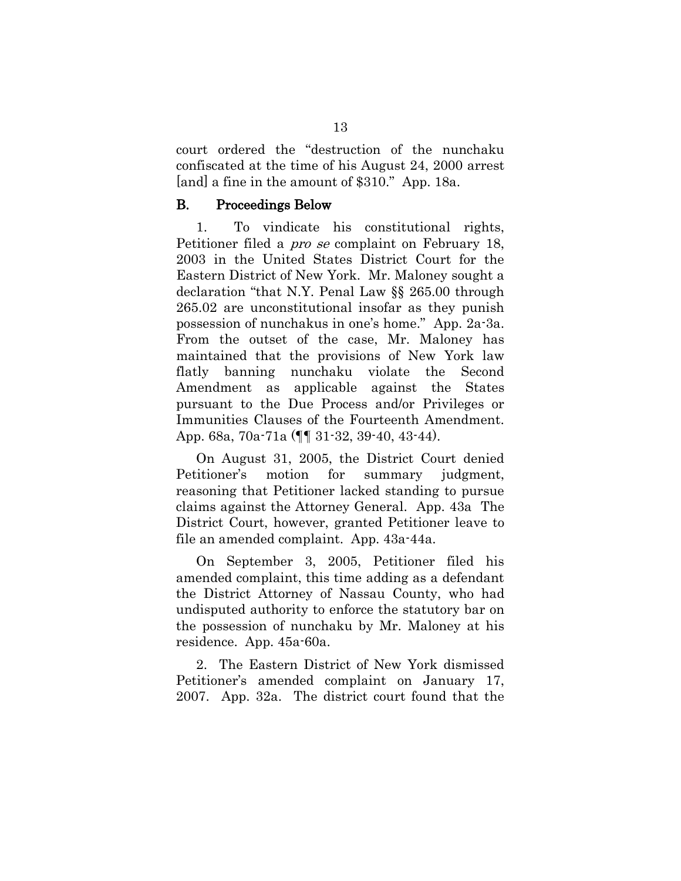court ordered the "destruction of the nunchaku confiscated at the time of his August 24, 2000 arrest [and] a fine in the amount of \$310." App. 18a.

#### <span id="page-25-0"></span>B. Proceedings Below

1. To vindicate his constitutional rights, Petitioner filed a *pro se* complaint on February 18, 2003 in the United States District Court for the Eastern District of New York. Mr. Maloney sought a declaration "that N.Y. Penal Law §§ 265.00 through 265.02 are unconstitutional insofar as they punish possession of nunchakus in one's home." App. 2a-3a. From the outset of the case, Mr. Maloney has maintained that the provisions of New York law flatly banning nunchaku violate the Second Amendment as applicable against the States pursuant to the Due Process and/or Privileges or Immunities Clauses of the Fourteenth Amendment. App. 68a, 70a-71a (¶¶ 31-32, 39-40, 43-44).

On August 31, 2005, the District Court denied Petitioner's motion for summary judgment, reasoning that Petitioner lacked standing to pursue claims against the Attorney General. App. 43a The District Court, however, granted Petitioner leave to file an amended complaint. App. 43a-44a.

On September 3, 2005, Petitioner filed his amended complaint, this time adding as a defendant the District Attorney of Nassau County, who had undisputed authority to enforce the statutory bar on the possession of nunchaku by Mr. Maloney at his residence. App. 45a-60a.

2. The Eastern District of New York dismissed Petitioner's amended complaint on January 17, 2007. App. 32a. The district court found that the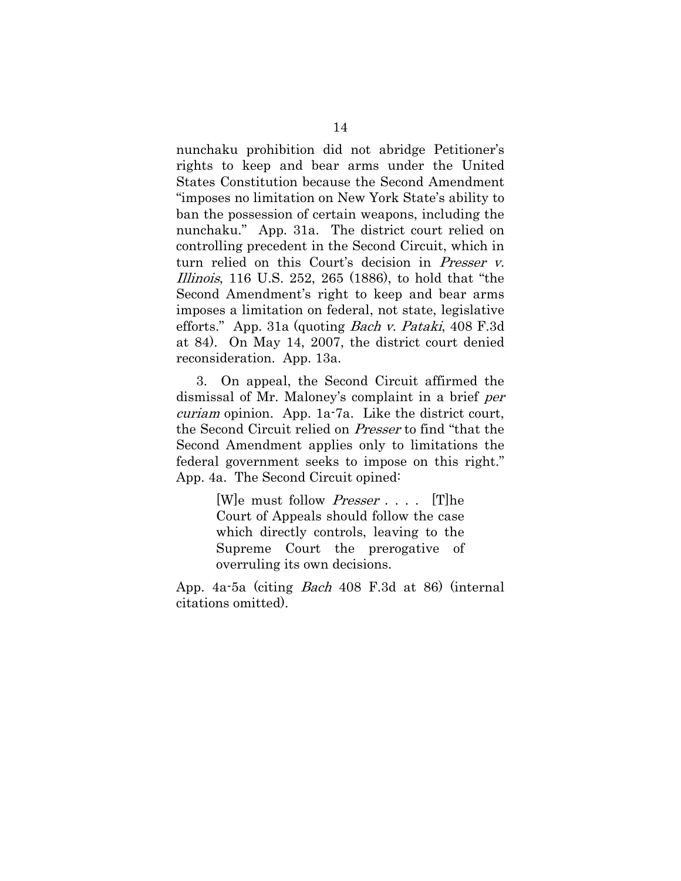nunchaku prohibition did not abridge Petitioner's rights to keep and bear arms under the United States Constitution because the Second Amendment "imposes no limitation on New York State's ability to ban the possession of certain weapons, including the nunchaku." App. 31a. The district court relied on controlling precedent in the Second Circuit, which in turn relied on this Court's decision in Presser v. Illinois, 116 U.S. 252, 265 (1886), to hold that "the Second Amendment's right to keep and bear arms imposes a limitation on federal, not state, legislative efforts." App. 31a (quoting Bach v. Pataki, 408 F.3d at 84). On May 14, 2007, the district court denied reconsideration. App. 13a.

3. On appeal, the Second Circuit affirmed the dismissal of Mr. Maloney's complaint in a brief per curiam opinion. App. 1a-7a. Like the district court, the Second Circuit relied on Presser to find "that the Second Amendment applies only to limitations the federal government seeks to impose on this right." App. 4a. The Second Circuit opined:

> [W]e must follow Presser . . . . [T]he Court of Appeals should follow the case which directly controls, leaving to the Supreme Court the prerogative of overruling its own decisions.

App. 4a-5a (citing Bach 408 F.3d at 86) (internal citations omitted).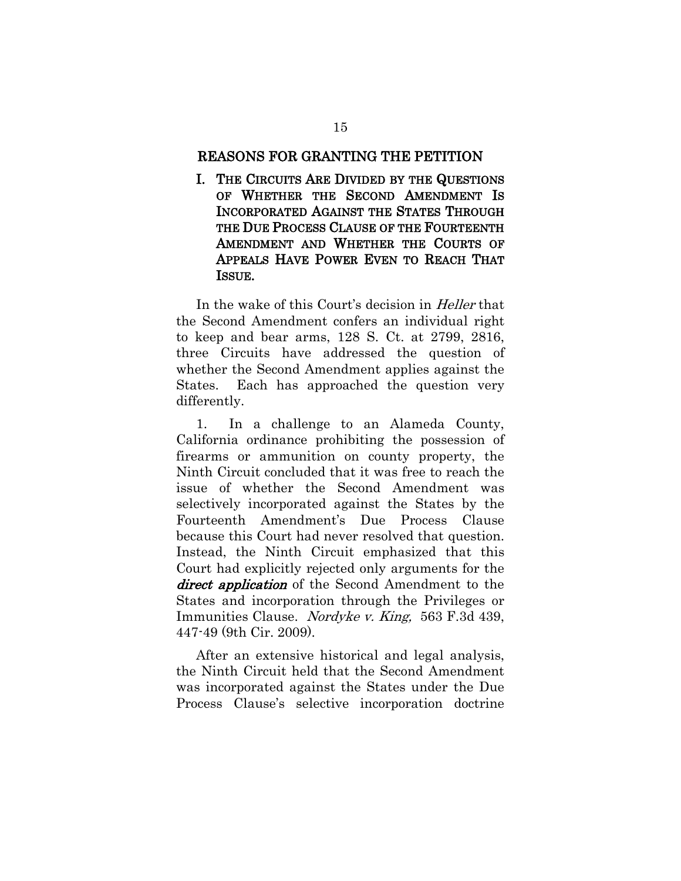#### <span id="page-27-0"></span>REASONS FOR GRANTING THE PETITION

<span id="page-27-1"></span>I. THE CIRCUITS ARE DIVIDED BY THE QUESTIONS OF WHETHER THE SECOND AMENDMENT IS INCORPORATED AGAINST THE STATES THROUGH THE DUE PROCESS CLAUSE OF THE FOURTEENTH AMENDMENT AND WHETHER THE COURTS OF APPEALS HAVE POWER EVEN TO REACH THAT ISSUE.

In the wake of this Court's decision in *Heller* that the Second Amendment confers an individual right to keep and bear arms, 128 S. Ct. at 2799, 2816, three Circuits have addressed the question of whether the Second Amendment applies against the States. Each has approached the question very differently.

1. In a challenge to an Alameda County, California ordinance prohibiting the possession of firearms or ammunition on county property, the Ninth Circuit concluded that it was free to reach the issue of whether the Second Amendment was selectively incorporated against the States by the Fourteenth Amendment's Due Process Clause because this Court had never resolved that question. Instead, the Ninth Circuit emphasized that this Court had explicitly rejected only arguments for the direct application of the Second Amendment to the States and incorporation through the Privileges or Immunities Clause. Nordyke v. King, 563 F.3d 439, 447-49 (9th Cir. 2009).

After an extensive historical and legal analysis, the Ninth Circuit held that the Second Amendment was incorporated against the States under the Due Process Clause's selective incorporation doctrine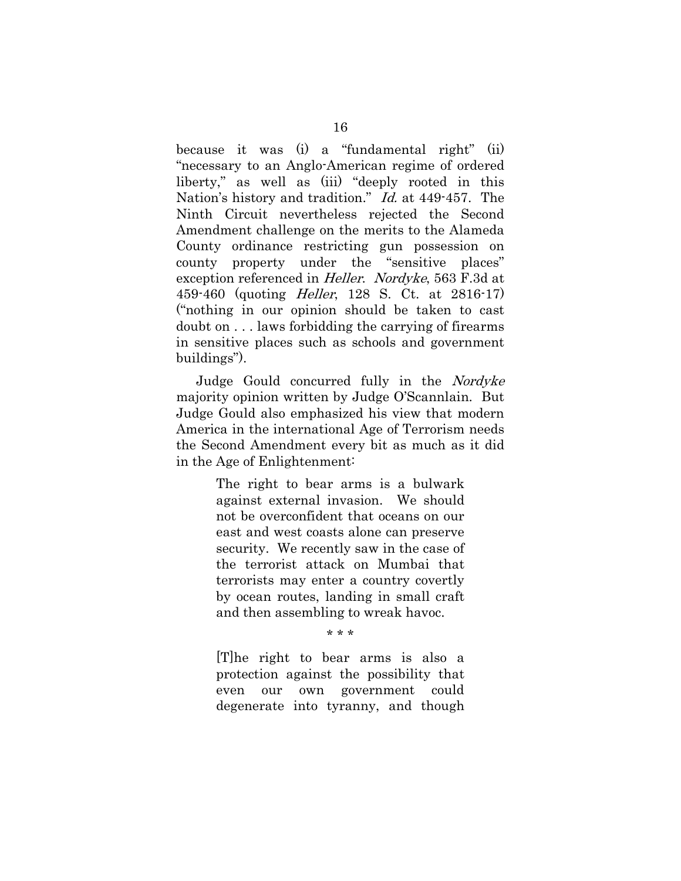because it was (i) a "fundamental right" (ii) "necessary to an Anglo-American regime of ordered liberty," as well as (iii) "deeply rooted in this Nation's history and tradition." Id. at 449-457. The Ninth Circuit nevertheless rejected the Second Amendment challenge on the merits to the Alameda County ordinance restricting gun possession on county property under the "sensitive places" exception referenced in Heller. Nordyke, 563 F.3d at 459-460 (quoting Heller, 128 S. Ct. at 2816-17) ("nothing in our opinion should be taken to cast doubt on . . . laws forbidding the carrying of firearms in sensitive places such as schools and government buildings").

Judge Gould concurred fully in the Nordyke majority opinion written by Judge O'Scannlain. But Judge Gould also emphasized his view that modern America in the international Age of Terrorism needs the Second Amendment every bit as much as it did in the Age of Enlightenment:

> The right to bear arms is a bulwark against external invasion. We should not be overconfident that oceans on our east and west coasts alone can preserve security. We recently saw in the case of the terrorist attack on Mumbai that terrorists may enter a country covertly by ocean routes, landing in small craft and then assembling to wreak havoc.

> > \* \* \*

[T]he right to bear arms is also a protection against the possibility that even our own government could degenerate into tyranny, and though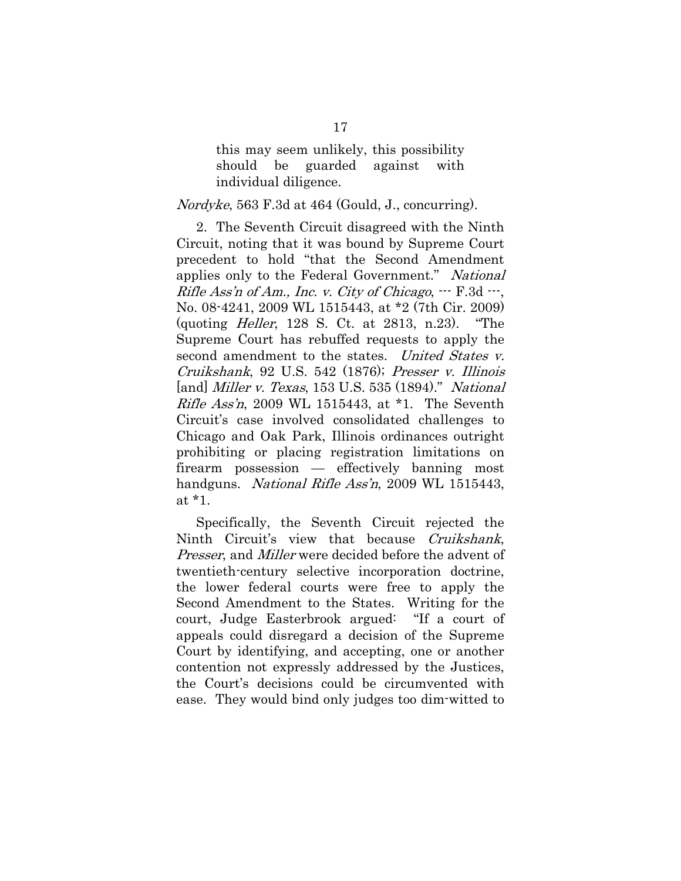this may seem unlikely, this possibility should be guarded against with individual diligence.

#### *Nordyke*, 563 F.3d at 464 (Gould, J., concurring).

2. The Seventh Circuit disagreed with the Ninth Circuit, noting that it was bound by Supreme Court precedent to hold "that the Second Amendment applies only to the Federal Government." National Rifle Ass'n of Am., Inc. v. City of Chicago,  $-$ - $F.3d$   $-$ , No. 08-4241, 2009 WL 1515443, at \*2 (7th Cir. 2009) (quoting Heller, 128 S. Ct. at 2813, n.23). "The Supreme Court has rebuffed requests to apply the second amendment to the states. United States v. Cruikshank, 92 U.S. 542 (1876); Presser v. Illinois [and] *Miller v. Texas*, 153 U.S. 535 (1894)." National Rifle Ass'n, 2009 WL 1515443, at \*1. The Seventh Circuit's case involved consolidated challenges to Chicago and Oak Park, Illinois ordinances outright prohibiting or placing registration limitations on firearm possession — effectively banning most handguns. *National Rifle Ass'n*, 2009 WL 1515443, at \*1.

Specifically, the Seventh Circuit rejected the Ninth Circuit's view that because Cruikshank, Presser, and *Miller* were decided before the advent of twentieth-century selective incorporation doctrine, the lower federal courts were free to apply the Second Amendment to the States. Writing for the court, Judge Easterbrook argued: "If a court of appeals could disregard a decision of the Supreme Court by identifying, and accepting, one or another contention not expressly addressed by the Justices, the Court's decisions could be circumvented with ease. They would bind only judges too dim-witted to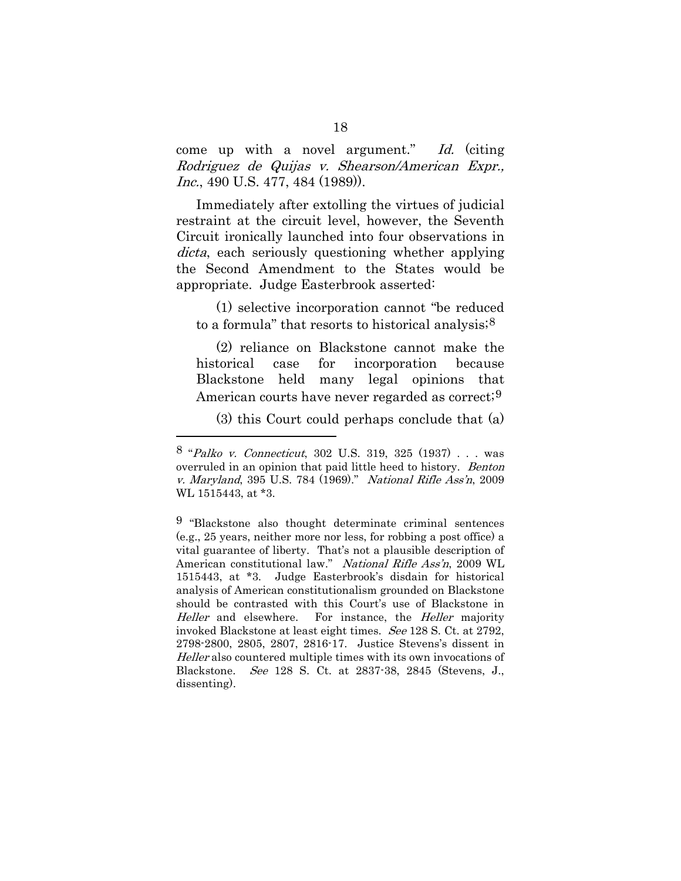come up with a novel argument." Id. (citing Rodriguez de Quijas v. Shearson/American Expr., Inc., 490 U.S. 477, 484 (1989)).

Immediately after extolling the virtues of judicial restraint at the circuit level, however, the Seventh Circuit ironically launched into four observations in dicta, each seriously questioning whether applying the Second Amendment to the States would be appropriate. Judge Easterbrook asserted:

(1) selective incorporation cannot "be reduced to a formula" that resorts to historical analysis;  $8$ 

(2) reliance on Blackstone cannot make the historical case for incorporation because Blackstone held many legal opinions that American courts have never regarded as correct;<sup>[9](#page-30-1)</sup>

(3) this Court could perhaps conclude that (a)

<span id="page-30-0"></span><sup>8</sup> "Palko v. Connecticut, 302 U.S. 319, 325 (1937) . . . was overruled in an opinion that paid little heed to history. Benton v. Maryland, 395 U.S. 784 (1969)." National Rifle Ass'n, 2009 WL 1515443, at \*3.

<span id="page-30-1"></span><sup>9</sup> "Blackstone also thought determinate criminal sentences (e.g., 25 years, neither more nor less, for robbing a post office) a vital guarantee of liberty. That's not a plausible description of American constitutional law." National Rifle Ass'n, 2009 WL 1515443, at \*3. Judge Easterbrook's disdain for historical analysis of American constitutionalism grounded on Blackstone should be contrasted with this Court's use of Blackstone in Heller and elsewhere. For instance, the Heller majority invoked Blackstone at least eight times. See 128 S. Ct. at 2792, 2798-2800, 2805, 2807, 2816-17. Justice Stevens's dissent in Heller also countered multiple times with its own invocations of Blackstone. See 128 S. Ct. at 2837-38, 2845 (Stevens, J., dissenting).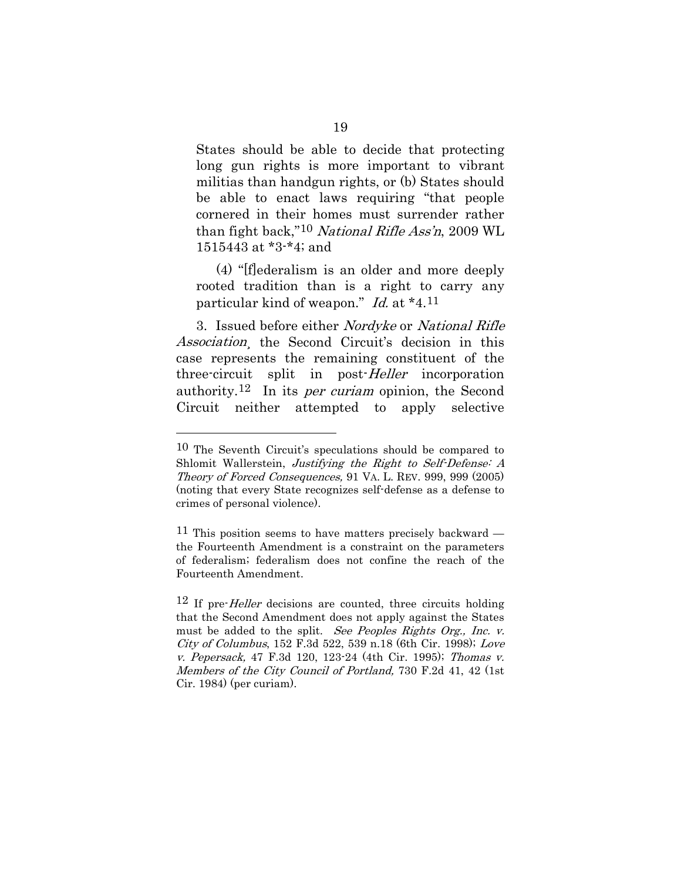States should be able to decide that protecting long gun rights is more important to vibrant militias than handgun rights, or (b) States should be able to enact laws requiring "that people cornered in their homes must surrender rather than fight back,"<sup>[10](#page-31-0)</sup> National Rifle Ass'n, 2009 WL 1515443 at \*3-\*4; and

(4) "[f]ederalism is an older and more deeply rooted tradition than is a right to carry any particular kind of weapon." Id. at \*4.[11](#page-31-1)

3. Issued before either Nordyke or National Rifle Association, the Second Circuit's decision in this case represents the remaining constituent of the three-circuit split in post-Heller incorporation authority.<sup>[12](#page-31-2)</sup> In its *per curiam* opinion, the Second Circuit neither attempted to apply selective

<span id="page-31-0"></span><sup>10</sup> The Seventh Circuit's speculations should be compared to Shlomit Wallerstein, Justifying the Right to Self-Defense: A Theory of Forced Consequences, 91 VA. L. REV. 999, 999 (2005) (noting that every State recognizes self-defense as a defense to crimes of personal violence).

<span id="page-31-1"></span><sup>&</sup>lt;sup>11</sup> This position seems to have matters precisely backward the Fourteenth Amendment is a constraint on the parameters of federalism; federalism does not confine the reach of the Fourteenth Amendment.

<span id="page-31-2"></span> $12$  If pre-*Heller* decisions are counted, three circuits holding that the Second Amendment does not apply against the States must be added to the split. See Peoples Rights Org., Inc. v. City of Columbus, 152 F.3d 522, 539 n.18 (6th Cir. 1998); Love v. Pepersack, 47 F.3d 120, 123-24 (4th Cir. 1995); Thomas v. Members of the City Council of Portland, 730 F.2d 41, 42 (1st Cir. 1984) (per curiam).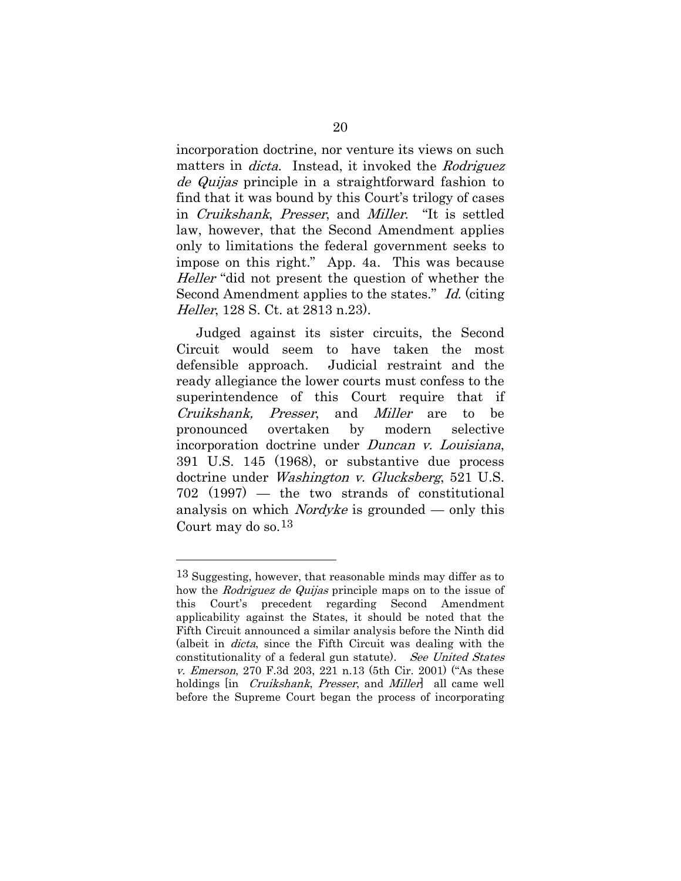incorporation doctrine, nor venture its views on such matters in *dicta*. Instead, it invoked the *Rodriguez* de Quijas principle in a straightforward fashion to find that it was bound by this Court's trilogy of cases in Cruikshank, Presser, and Miller. "It is settled law, however, that the Second Amendment applies only to limitations the federal government seeks to impose on this right." App. 4a. This was because Heller "did not present the question of whether the Second Amendment applies to the states." Id. (citing Heller, 128 S. Ct. at 2813 n.23).

Judged against its sister circuits, the Second Circuit would seem to have taken the most defensible approach. Judicial restraint and the ready allegiance the lower courts must confess to the superintendence of this Court require that if Cruikshank, Presser, and Miller are to be pronounced overtaken by modern selective incorporation doctrine under *Duncan v. Louisiana*, 391 U.S. 145 (1968), or substantive due process doctrine under Washington v. Glucksberg, 521 U.S. 702 (1997) — the two strands of constitutional analysis on which *Nordyke* is grounded — only this Court may do so.[13](#page-32-0)

<span id="page-32-0"></span><sup>13</sup> Suggesting, however, that reasonable minds may differ as to how the *Rodriguez de Quijas* principle maps on to the issue of this Court's precedent regarding Second Amendment applicability against the States, it should be noted that the Fifth Circuit announced a similar analysis before the Ninth did (albeit in dicta, since the Fifth Circuit was dealing with the constitutionality of a federal gun statute). See United States v. Emerson, 270 F.3d 203, 221 n.13 (5th Cir. 2001) ("As these holdings in *Cruikshank*, *Presser*, and *Miller* all came well before the Supreme Court began the process of incorporating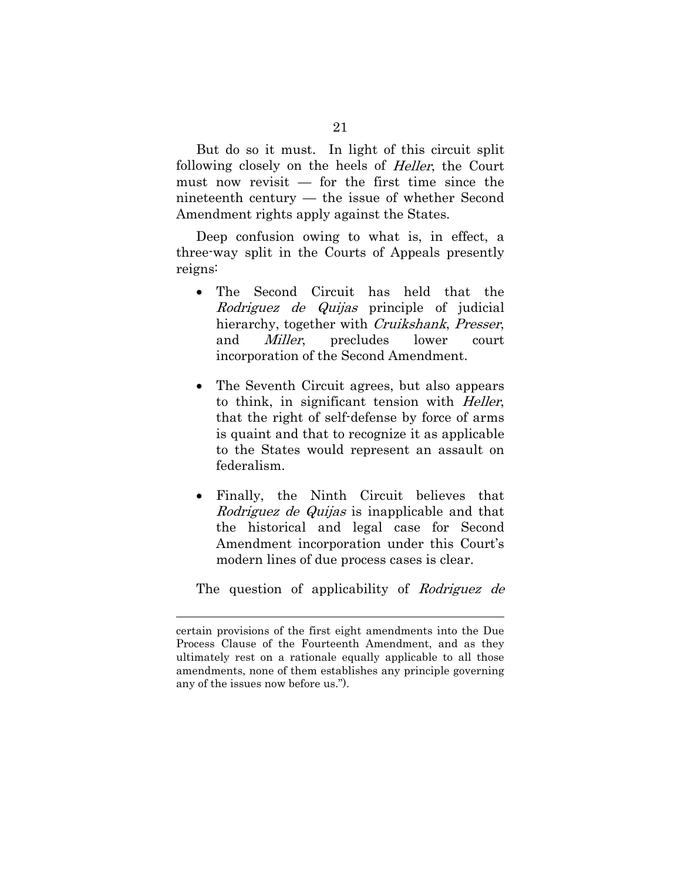But do so it must. In light of this circuit split following closely on the heels of Heller, the Court must now revisit — for the first time since the nineteenth century — the issue of whether Second Amendment rights apply against the States.

Deep confusion owing to what is, in effect, a three-way split in the Courts of Appeals presently reigns:

- The Second Circuit has held that the Rodriguez de Quijas principle of judicial hierarchy, together with Cruikshank, Presser, and Miller, precludes lower court incorporation of the Second Amendment.
- The Seventh Circuit agrees, but also appears to think, in significant tension with Heller, that the right of self-defense by force of arms is quaint and that to recognize it as applicable to the States would represent an assault on federalism.
- Finally, the Ninth Circuit believes that Rodriguez de Quijas is inapplicable and that the historical and legal case for Second Amendment incorporation under this Court's modern lines of due process cases is clear.

The question of applicability of Rodriguez de

certain provisions of the first eight amendments into the Due Process Clause of the Fourteenth Amendment, and as they ultimately rest on a rationale equally applicable to all those amendments, none of them establishes any principle governing any of the issues now before us.").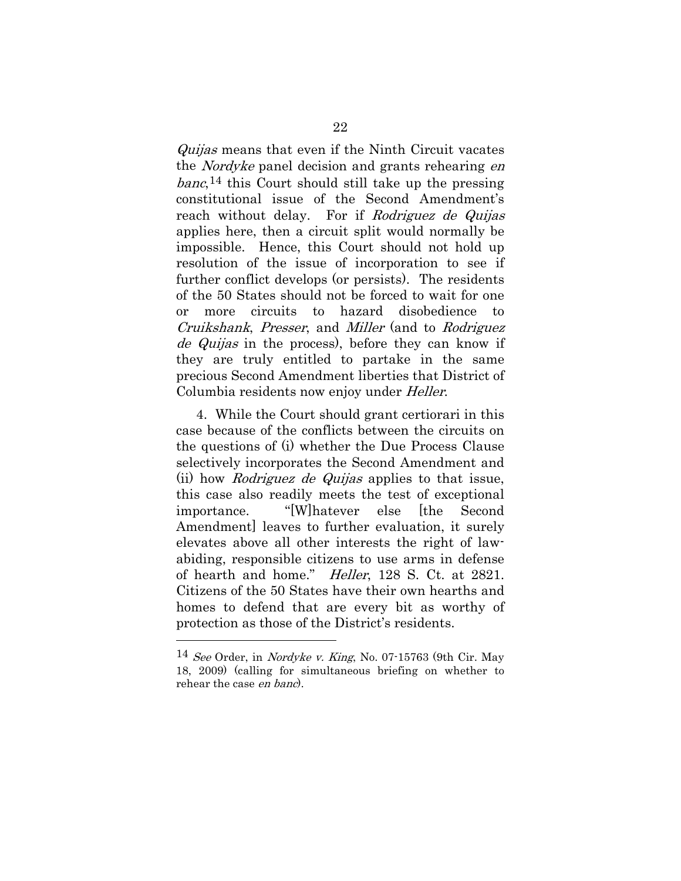Quijas means that even if the Ninth Circuit vacates the Nordyke panel decision and grants rehearing en banc,[14](#page-34-0) this Court should still take up the pressing constitutional issue of the Second Amendment's reach without delay. For if Rodriguez de Quijas applies here, then a circuit split would normally be impossible. Hence, this Court should not hold up resolution of the issue of incorporation to see if further conflict develops (or persists). The residents of the 50 States should not be forced to wait for one or more circuits to hazard disobedience to Cruikshank, Presser, and Miller (and to Rodriguez de Quijas in the process), before they can know if they are truly entitled to partake in the same precious Second Amendment liberties that District of Columbia residents now enjoy under Heller.

4. While the Court should grant certiorari in this case because of the conflicts between the circuits on the questions of (i) whether the Due Process Clause selectively incorporates the Second Amendment and (ii) how Rodriguez de Quijas applies to that issue, this case also readily meets the test of exceptional importance. "[W]hatever else [the Second Amendment] leaves to further evaluation, it surely elevates above all other interests the right of lawabiding, responsible citizens to use arms in defense of hearth and home." Heller, 128 S. Ct. at 2821. Citizens of the 50 States have their own hearths and homes to defend that are every bit as worthy of protection as those of the District's residents.

<span id="page-34-0"></span> $14$  See Order, in Nordyke v. King, No. 07-15763 (9th Cir. May 18, 2009) (calling for simultaneous briefing on whether to rehear the case en banc).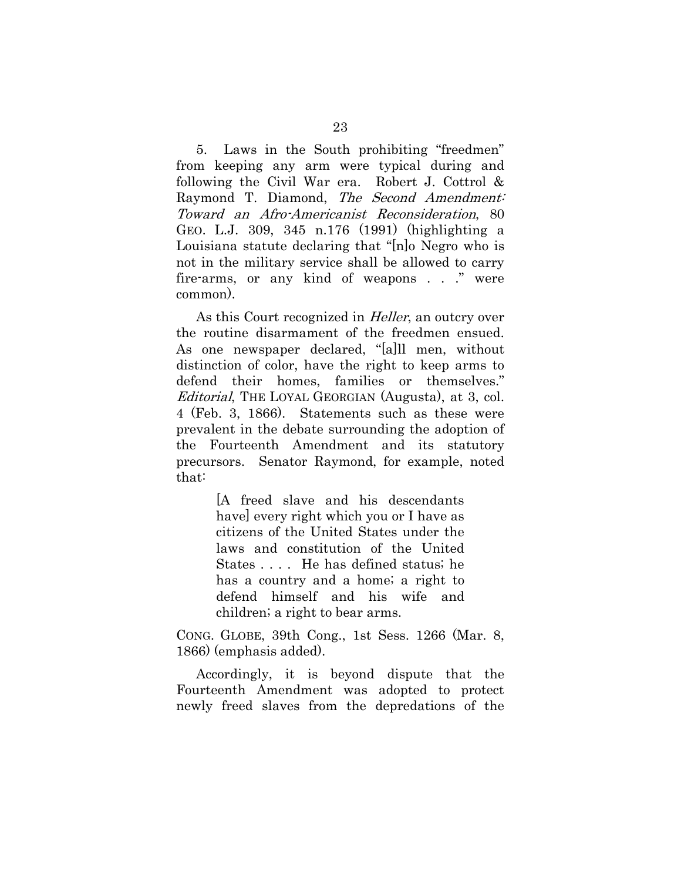5. Laws in the South prohibiting "freedmen" from keeping any arm were typical during and following the Civil War era. Robert J. Cottrol & Raymond T. Diamond, The Second Amendment: Toward an Afro-Americanist Reconsideration, 80 GEO. L.J. 309, 345 n.176 (1991) (highlighting a Louisiana statute declaring that "[n]o Negro who is not in the military service shall be allowed to carry fire-arms, or any kind of weapons . . ." were common).

As this Court recognized in *Heller*, an outcry over the routine disarmament of the freedmen ensued. As one newspaper declared, "[a]ll men, without distinction of color, have the right to keep arms to defend their homes, families or themselves." Editorial, THE LOYAL GEORGIAN (Augusta), at 3, col. 4 (Feb. 3, 1866). Statements such as these were prevalent in the debate surrounding the adoption of the Fourteenth Amendment and its statutory precursors. Senator Raymond, for example, noted that:

> [A freed slave and his descendants have] every right which you or I have as citizens of the United States under the laws and constitution of the United States . . . . He has defined status; he has a country and a home; a right to defend himself and his wife and children; a right to bear arms.

CONG. GLOBE, 39th Cong., 1st Sess. 1266 (Mar. 8, 1866) (emphasis added).

Accordingly, it is beyond dispute that the Fourteenth Amendment was adopted to protect newly freed slaves from the depredations of the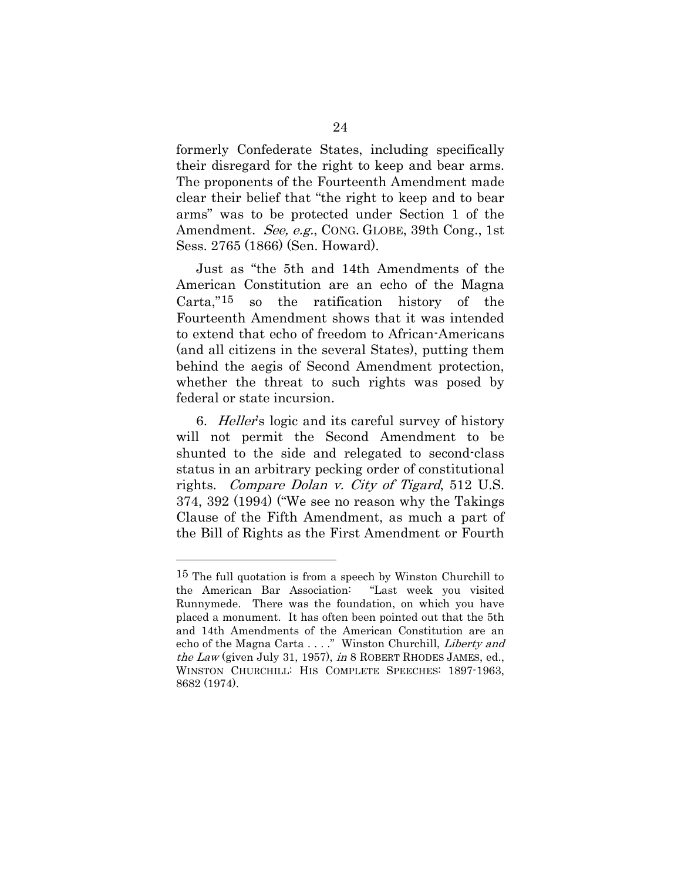formerly Confederate States, including specifically their disregard for the right to keep and bear arms. The proponents of the Fourteenth Amendment made clear their belief that "the right to keep and to bear arms" was to be protected under Section 1 of the Amendment. See, e.g., CONG. GLOBE, 39th Cong., 1st Sess. 2765 (1866) (Sen. Howard).

Just as "the 5th and 14th Amendments of the American Constitution are an echo of the Magna Carta,"[15](#page-36-0) so the ratification history of the Fourteenth Amendment shows that it was intended to extend that echo of freedom to African-Americans (and all citizens in the several States), putting them behind the aegis of Second Amendment protection, whether the threat to such rights was posed by federal or state incursion.

6. Heller's logic and its careful survey of history will not permit the Second Amendment to be shunted to the side and relegated to second-class status in an arbitrary pecking order of constitutional rights. Compare Dolan v. City of Tigard, 512 U.S. 374, 392 (1994) ("We see no reason why the Takings Clause of the Fifth Amendment, as much a part of the Bill of Rights as the First Amendment or Fourth

<span id="page-36-0"></span><sup>&</sup>lt;sup>15</sup> The full quotation is from a speech by Winston Churchill to the American Bar Association: "Last week you visited Runnymede. There was the foundation, on which you have placed a monument. It has often been pointed out that the 5th and 14th Amendments of the American Constitution are an echo of the Magna Carta . . . ." Winston Churchill, Liberty and the Law (given July 31, 1957), in 8 ROBERT RHODES JAMES, ed., WINSTON CHURCHILL: HIS COMPLETE SPEECHES: 1897-1963, 8682 (1974).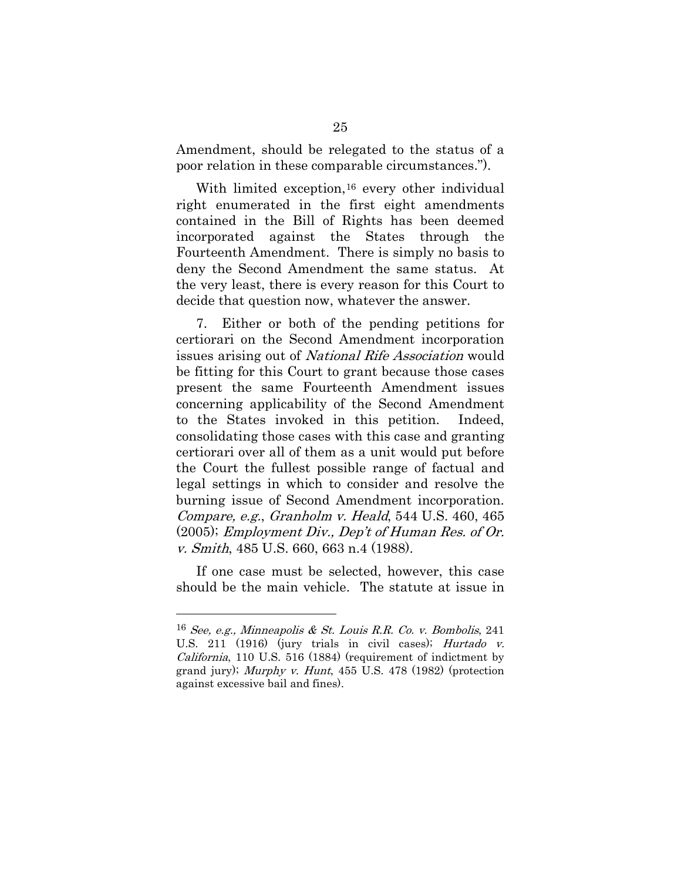Amendment, should be relegated to the status of a poor relation in these comparable circumstances.").

With limited exception,<sup>[16](#page-37-0)</sup> every other individual right enumerated in the first eight amendments contained in the Bill of Rights has been deemed incorporated against the States through the Fourteenth Amendment. There is simply no basis to deny the Second Amendment the same status. At the very least, there is every reason for this Court to decide that question now, whatever the answer.

7. Either or both of the pending petitions for certiorari on the Second Amendment incorporation issues arising out of National Rife Association would be fitting for this Court to grant because those cases present the same Fourteenth Amendment issues concerning applicability of the Second Amendment to the States invoked in this petition. Indeed, consolidating those cases with this case and granting certiorari over all of them as a unit would put before the Court the fullest possible range of factual and legal settings in which to consider and resolve the burning issue of Second Amendment incorporation. Compare, e.g., Granholm v. Heald, 544 U.S. 460, 465 (2005); Employment Div., Dep't of Human Res. of Or. v. Smith, 485 U.S. 660, 663 n.4 (1988).

If one case must be selected, however, this case should be the main vehicle. The statute at issue in

<span id="page-37-0"></span> $16$  See, e.g., Minneapolis & St. Louis R.R. Co. v. Bombolis, 241 U.S. 211 (1916) (jury trials in civil cases); Hurtado v. California, 110 U.S. 516 (1884) (requirement of indictment by grand jury); *Murphy v. Hunt*,  $455$  U.S.  $478$  (1982) (protection against excessive bail and fines).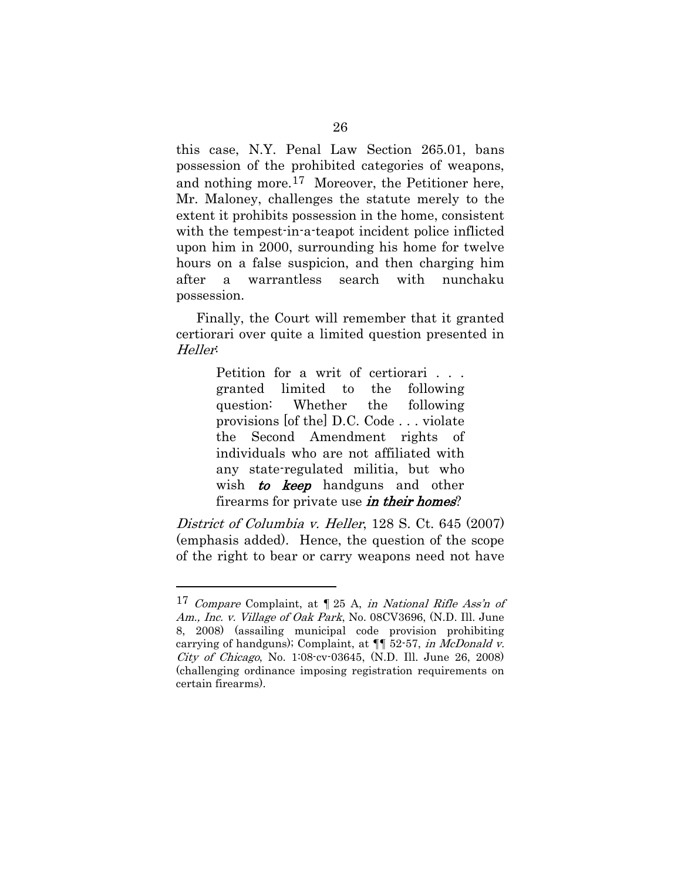this case, N.Y. Penal Law Section 265.01, bans possession of the prohibited categories of weapons, and nothing more.[17](#page-38-0) Moreover, the Petitioner here, Mr. Maloney, challenges the statute merely to the extent it prohibits possession in the home, consistent with the tempest-in-a-teapot incident police inflicted upon him in 2000, surrounding his home for twelve hours on a false suspicion, and then charging him after a warrantless search with nunchaku possession.

Finally, the Court will remember that it granted certiorari over quite a limited question presented in Heller:

> Petition for a writ of certiorari . . . granted limited to the following question: Whether the following provisions [of the] D.C. Code . . . violate the Second Amendment rights of individuals who are not affiliated with any state-regulated militia, but who wish **to keep** handguns and other firearms for private use *in their homes*?

District of Columbia v. Heller, 128 S. Ct. 645 (2007) (emphasis added). Hence, the question of the scope of the right to bear or carry weapons need not have

<span id="page-38-0"></span><sup>&</sup>lt;sup>17</sup> Compare Complaint, at  $\P$  25 A, in National Rifle Ass'n of Am., Inc. v. Village of Oak Park, No. 08CV3696, (N.D. Ill. June 8, 2008) (assailing municipal code provision prohibiting carrying of handguns); Complaint, at  $\P$  52-57, *in McDonald v.* City of Chicago, No. 1:08-cv-03645, (N.D. Ill. June 26, 2008) (challenging ordinance imposing registration requirements on certain firearms).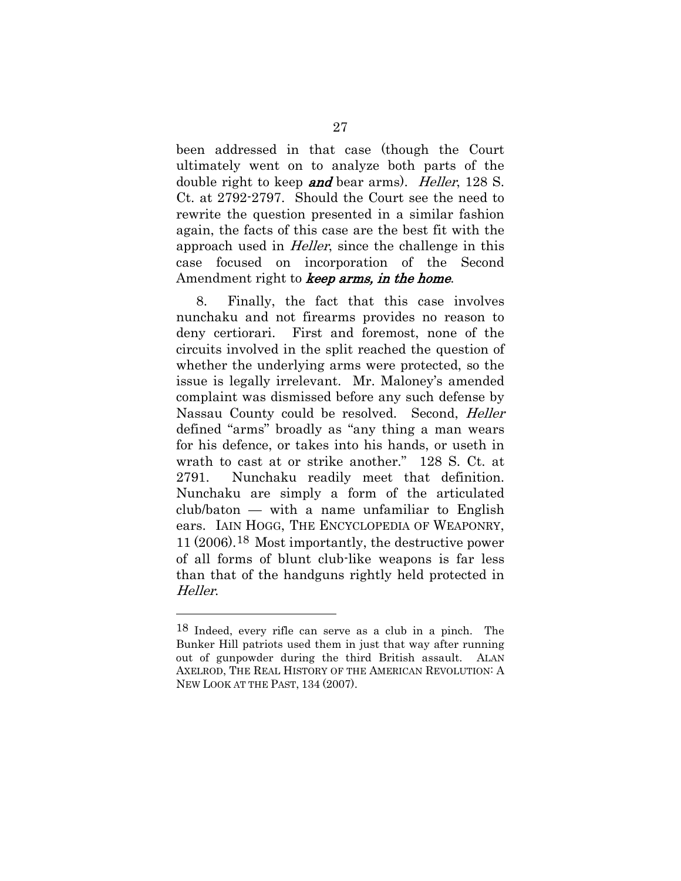been addressed in that case (though the Court ultimately went on to analyze both parts of the double right to keep **and** bear arms). *Heller*, 128 S. Ct. at 2792-2797. Should the Court see the need to rewrite the question presented in a similar fashion again, the facts of this case are the best fit with the approach used in Heller, since the challenge in this case focused on incorporation of the Second Amendment right to keep arms, in the home.

8. Finally, the fact that this case involves nunchaku and not firearms provides no reason to deny certiorari. First and foremost, none of the circuits involved in the split reached the question of whether the underlying arms were protected, so the issue is legally irrelevant. Mr. Maloney's amended complaint was dismissed before any such defense by Nassau County could be resolved. Second, Heller defined "arms" broadly as "any thing a man wears for his defence, or takes into his hands, or useth in wrath to cast at or strike another." 128 S. Ct. at 2791. Nunchaku readily meet that definition. Nunchaku are simply a form of the articulated club/baton — with a name unfamiliar to English ears. IAIN HOGG, THE ENCYCLOPEDIA OF WEAPONRY, 11 (2006).[18](#page-39-0) Most importantly, the destructive power of all forms of blunt club-like weapons is far less than that of the handguns rightly held protected in Heller.

<span id="page-39-0"></span><sup>18</sup> Indeed, every rifle can serve as a club in a pinch. The Bunker Hill patriots used them in just that way after running out of gunpowder during the third British assault. ALAN AXELROD, THE REAL HISTORY OF THE AMERICAN REVOLUTION: A NEW LOOK AT THE PAST, 134 (2007).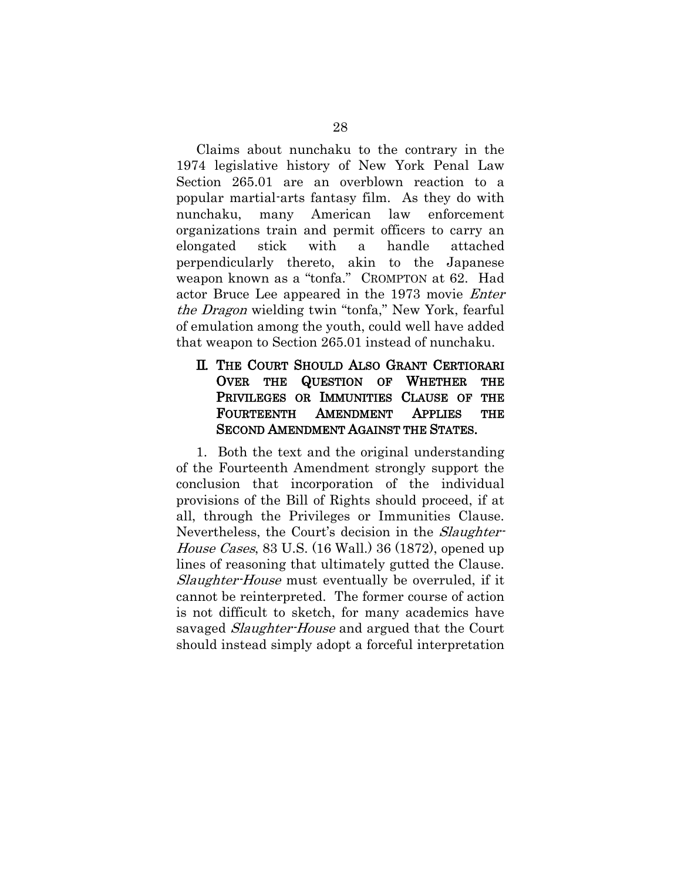Claims about nunchaku to the contrary in the 1974 legislative history of New York Penal Law Section 265.01 are an overblown reaction to a popular martial-arts fantasy film. As they do with nunchaku, many American law enforcement organizations train and permit officers to carry an elongated stick with a handle attached perpendicularly thereto, akin to the Japanese weapon known as a "tonfa." CROMPTON at 62. Had actor Bruce Lee appeared in the 1973 movie Enter the Dragon wielding twin "tonfa," New York, fearful of emulation among the youth, could well have added that weapon to Section 265.01 instead of nunchaku.

### <span id="page-40-0"></span>II. THE COURT SHOULD ALSO GRANT CERTIORARI OVER THE QUESTION OF WHETHER THE PRIVILEGES OR IMMUNITIES CLAUSE OF THE FOURTEENTH AMENDMENT APPLIES THE SECOND AMENDMENT AGAINST THE STATES.

1. Both the text and the original understanding of the Fourteenth Amendment strongly support the conclusion that incorporation of the individual provisions of the Bill of Rights should proceed, if at all, through the Privileges or Immunities Clause. Nevertheless, the Court's decision in the *Slaughter*-House Cases, 83 U.S. (16 Wall.) 36 (1872), opened up lines of reasoning that ultimately gutted the Clause. Slaughter-House must eventually be overruled, if it cannot be reinterpreted. The former course of action is not difficult to sketch, for many academics have savaged *Slaughter-House* and argued that the Court should instead simply adopt a forceful interpretation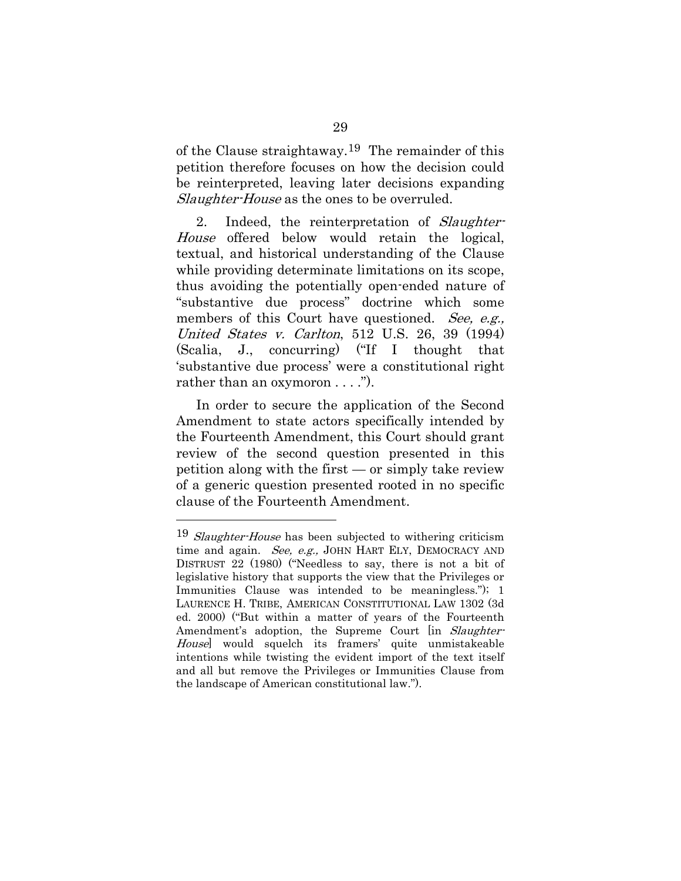of the Clause straightaway.<sup>[19](#page-41-0)</sup> The remainder of this petition therefore focuses on how the decision could be reinterpreted, leaving later decisions expanding Slaughter-House as the ones to be overruled.

2. Indeed, the reinterpretation of Slaughter-House offered below would retain the logical, textual, and historical understanding of the Clause while providing determinate limitations on its scope, thus avoiding the potentially open-ended nature of "substantive due process" doctrine which some members of this Court have questioned. See, e.g., United States v. Carlton, 512 U.S. 26, 39 (1994) (Scalia, J., concurring) ("If I thought that 'substantive due process' were a constitutional right rather than an oxymoron . . . .").

In order to secure the application of the Second Amendment to state actors specifically intended by the Fourteenth Amendment, this Court should grant review of the second question presented in this petition along with the first  $-$  or simply take review of a generic question presented rooted in no specific clause of the Fourteenth Amendment.

<span id="page-41-0"></span> $19$  Slaughter-House has been subjected to withering criticism time and again. See, e.g., JOHN HART ELY, DEMOCRACY AND DISTRUST 22 (1980) ("Needless to say, there is not a bit of legislative history that supports the view that the Privileges or Immunities Clause was intended to be meaningless."); 1 LAURENCE H. TRIBE, AMERICAN CONSTITUTIONAL LAW 1302 (3d ed. 2000) ("But within a matter of years of the Fourteenth Amendment's adoption, the Supreme Court [in *Slaughter-*House] would squelch its framers' quite unmistakeable intentions while twisting the evident import of the text itself and all but remove the Privileges or Immunities Clause from the landscape of American constitutional law.").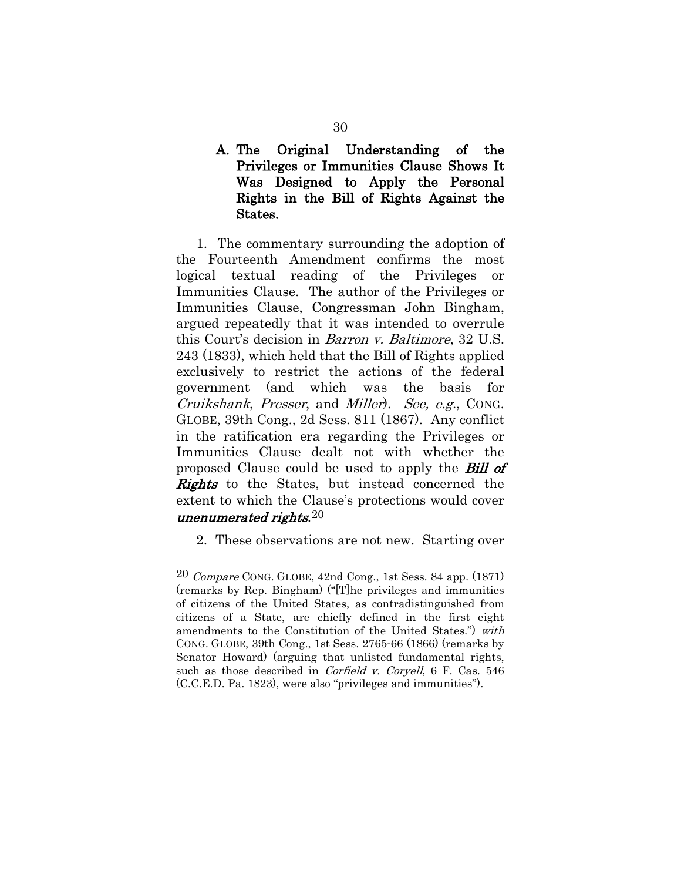A. The Original Understanding of the Privileges or Immunities Clause Shows It Was Designed to Apply the Personal Rights in the Bill of Rights Against the States.

1. The commentary surrounding the adoption of the Fourteenth Amendment confirms the most logical textual reading of the Privileges or Immunities Clause. The author of the Privileges or Immunities Clause, Congressman John Bingham, argued repeatedly that it was intended to overrule this Court's decision in Barron v. Baltimore, 32 U.S. 243 (1833), which held that the Bill of Rights applied exclusively to restrict the actions of the federal government (and which was the basis for Cruikshank, Presser, and Miller). See, e.g., CONG. GLOBE, 39th Cong., 2d Sess. 811 (1867). Any conflict in the ratification era regarding the Privileges or Immunities Clause dealt not with whether the proposed Clause could be used to apply the **Bill of Rights** to the States, but instead concerned the extent to which the Clause's protections would cover unenumerated rights. $20$ 

2. These observations are not new. Starting over

<span id="page-42-0"></span><sup>20</sup> Compare CONG. GLOBE, 42nd Cong., 1st Sess. 84 app. (1871) (remarks by Rep. Bingham) ("[T]he privileges and immunities of citizens of the United States, as contradistinguished from citizens of a State, are chiefly defined in the first eight amendments to the Constitution of the United States.") with CONG. GLOBE, 39th Cong., 1st Sess. 2765-66 (1866) (remarks by Senator Howard) (arguing that unlisted fundamental rights, such as those described in *Corfield v. Coryell*, 6 F. Cas. 546 (C.C.E.D. Pa. 1823), were also "privileges and immunities").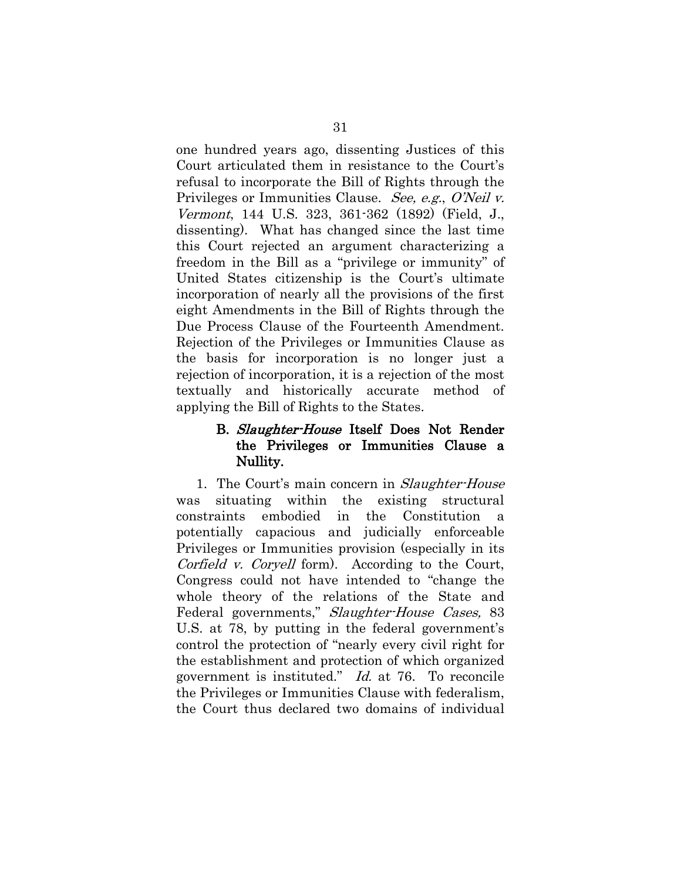one hundred years ago, dissenting Justices of this Court articulated them in resistance to the Court's refusal to incorporate the Bill of Rights through the Privileges or Immunities Clause. See, e.g., O'Neil v. Vermont, 144 U.S. 323, 361-362 (1892) (Field, J., dissenting). What has changed since the last time this Court rejected an argument characterizing a freedom in the Bill as a "privilege or immunity" of United States citizenship is the Court's ultimate incorporation of nearly all the provisions of the first eight Amendments in the Bill of Rights through the Due Process Clause of the Fourteenth Amendment. Rejection of the Privileges or Immunities Clause as the basis for incorporation is no longer just a rejection of incorporation, it is a rejection of the most textually and historically accurate method of applying the Bill of Rights to the States.

### B. Slaughter-House Itself Does Not Render the Privileges or Immunities Clause a Nullity.

1. The Court's main concern in *Slaughter-House* was situating within the existing structural constraints embodied in the Constitution a potentially capacious and judicially enforceable Privileges or Immunities provision (especially in its Corfield *v.* Coryell form). According to the Court, Congress could not have intended to "change the whole theory of the relations of the State and Federal governments," Slaughter-House Cases, 83 U.S. at 78, by putting in the federal government's control the protection of "nearly every civil right for the establishment and protection of which organized government is instituted." Id. at 76. To reconcile the Privileges or Immunities Clause with federalism, the Court thus declared two domains of individual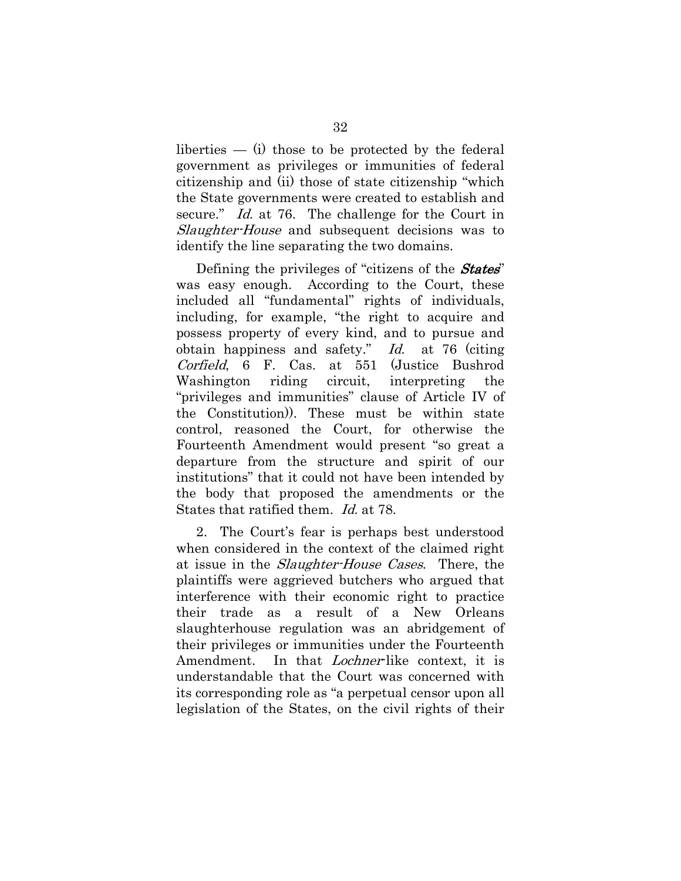liberties  $-$  (i) those to be protected by the federal government as privileges or immunities of federal citizenship and (ii) those of state citizenship "which the State governments were created to establish and secure." Id. at 76. The challenge for the Court in Slaughter-House and subsequent decisions was to identify the line separating the two domains.

Defining the privileges of "citizens of the **States"** was easy enough. According to the Court, these included all "fundamental" rights of individuals, including, for example, "the right to acquire and possess property of every kind, and to pursue and obtain happiness and safety." Id. at 76 (citing Corfield, 6 F. Cas. at 551 (Justice Bushrod Washington riding circuit, interpreting the "privileges and immunities" clause of Article IV of the Constitution)). These must be within state control, reasoned the Court, for otherwise the Fourteenth Amendment would present "so great a departure from the structure and spirit of our institutions" that it could not have been intended by the body that proposed the amendments or the States that ratified them. Id. at 78.

2. The Court's fear is perhaps best understood when considered in the context of the claimed right at issue in the Slaughter-House Cases. There, the plaintiffs were aggrieved butchers who argued that interference with their economic right to practice their trade as a result of a New Orleans slaughterhouse regulation was an abridgement of their privileges or immunities under the Fourteenth Amendment. In that *Lochner*-like context, it is understandable that the Court was concerned with its corresponding role as "a perpetual censor upon all legislation of the States, on the civil rights of their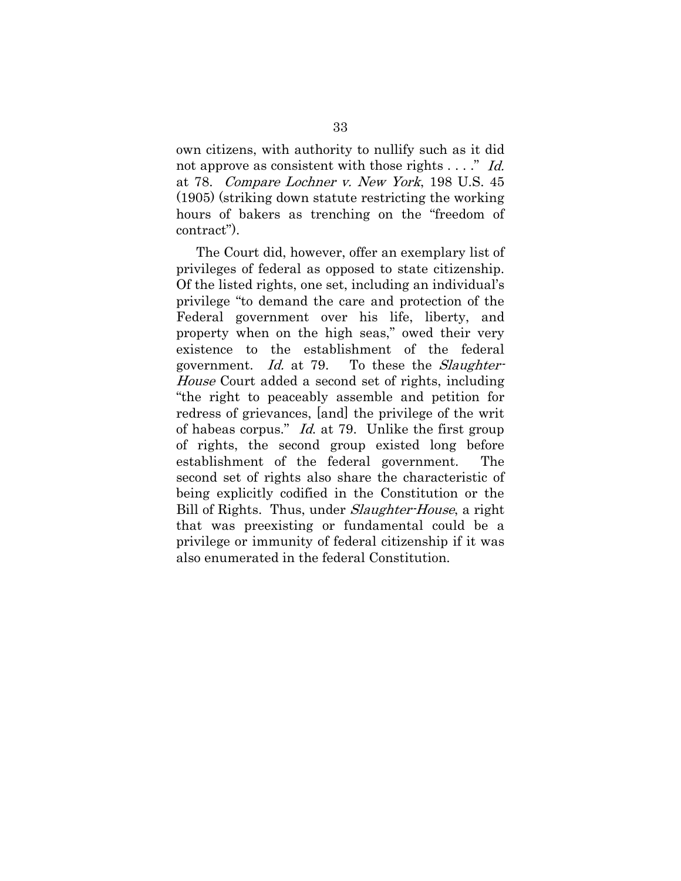own citizens, with authority to nullify such as it did not approve as consistent with those rights . . . ." Id. at 78. Compare Lochner v. New York, 198 U.S. 45 (1905) (striking down statute restricting the working hours of bakers as trenching on the "freedom of contract").

The Court did, however, offer an exemplary list of privileges of federal as opposed to state citizenship. Of the listed rights, one set, including an individual's privilege "to demand the care and protection of the Federal government over his life, liberty, and property when on the high seas," owed their very existence to the establishment of the federal government. Id. at 79. To these the *Slaughter-*House Court added a second set of rights, including "the right to peaceably assemble and petition for redress of grievances, [and] the privilege of the writ of habeas corpus." Id. at 79. Unlike the first group of rights, the second group existed long before establishment of the federal government. The second set of rights also share the characteristic of being explicitly codified in the Constitution or the Bill of Rights. Thus, under *Slaughter-House*, a right that was preexisting or fundamental could be a privilege or immunity of federal citizenship if it was also enumerated in the federal Constitution.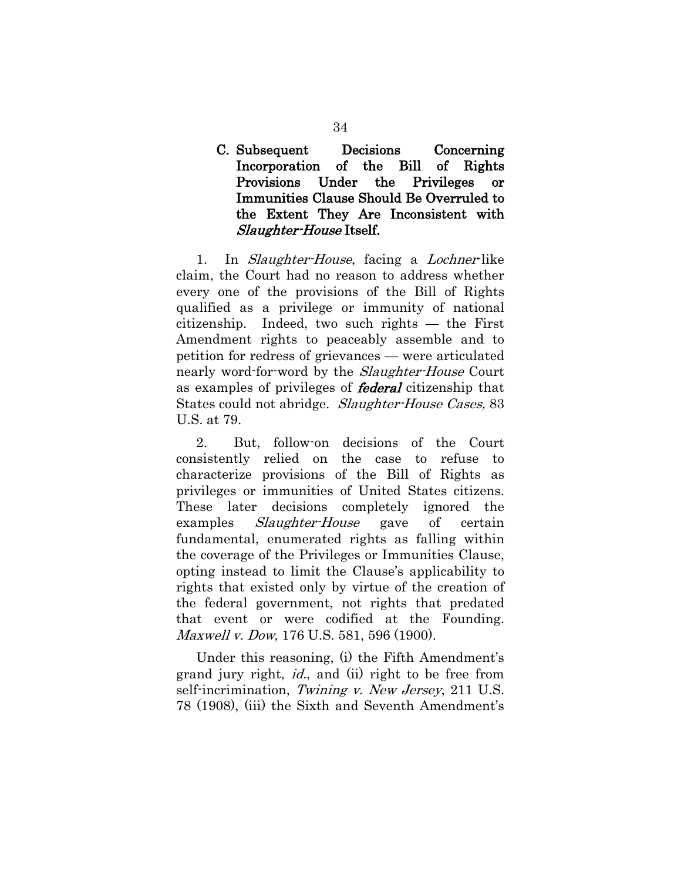### C. Subsequent Decisions Concerning Incorporation of the Bill of Rights Provisions Under the Privileges or Immunities Clause Should Be Overruled to the Extent They Are Inconsistent with Slaughter-House Itself.

1. In *Slaughter-House*, facing a *Lochner-like* claim, the Court had no reason to address whether every one of the provisions of the Bill of Rights qualified as a privilege or immunity of national citizenship. Indeed, two such rights — the First Amendment rights to peaceably assemble and to petition for redress of grievances — were articulated nearly word-for-word by the *Slaughter-House* Court as examples of privileges of **federal** citizenship that States could not abridge. Slaughter-House Cases, 83 U.S. at 79.

2. But, follow-on decisions of the Court consistently relied on the case to refuse to characterize provisions of the Bill of Rights as privileges or immunities of United States citizens. These later decisions completely ignored the examples *Slaughter-House* gave of certain fundamental, enumerated rights as falling within the coverage of the Privileges or Immunities Clause, opting instead to limit the Clause's applicability to rights that existed only by virtue of the creation of the federal government, not rights that predated that event or were codified at the Founding. Maxwell v. Dow, 176 U.S. 581, 596 (1900).

Under this reasoning, (i) the Fifth Amendment's grand jury right, id., and (ii) right to be free from self-incrimination, Twining v. New Jersey, 211 U.S. 78 (1908), (iii) the Sixth and Seventh Amendment's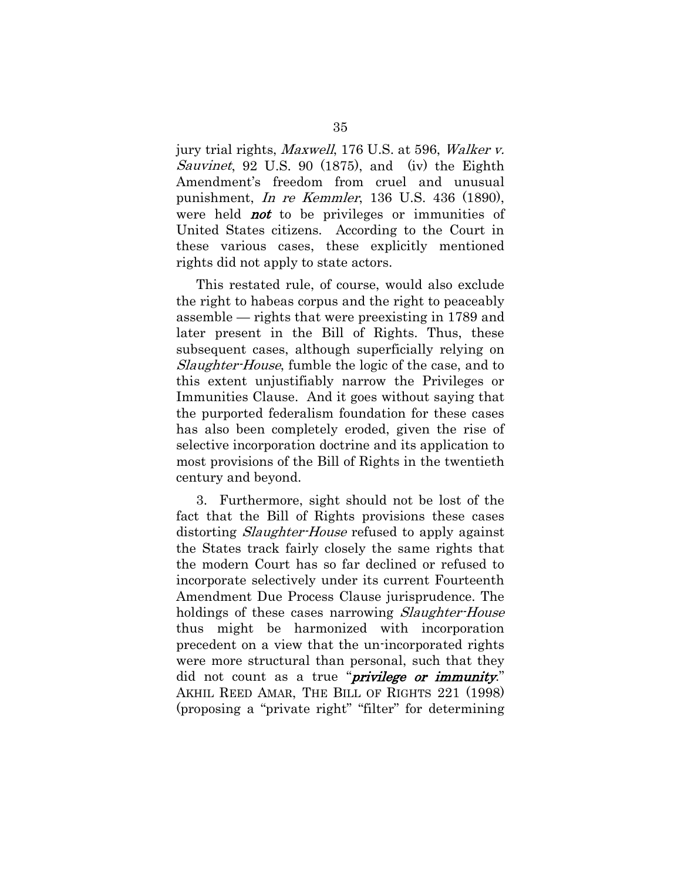jury trial rights, Maxwell, 176 U.S. at 596, Walker v. Sauvinet, 92 U.S. 90 (1875), and (iv) the Eighth Amendment's freedom from cruel and unusual punishment, In re Kemmler, 136 U.S. 436 (1890), were held **not** to be privileges or immunities of United States citizens. According to the Court in these various cases, these explicitly mentioned rights did not apply to state actors.

This restated rule, of course, would also exclude the right to habeas corpus and the right to peaceably assemble — rights that were preexisting in 1789 and later present in the Bill of Rights. Thus, these subsequent cases, although superficially relying on Slaughter-House, fumble the logic of the case, and to this extent unjustifiably narrow the Privileges or Immunities Clause. And it goes without saying that the purported federalism foundation for these cases has also been completely eroded, given the rise of selective incorporation doctrine and its application to most provisions of the Bill of Rights in the twentieth century and beyond.

3. Furthermore, sight should not be lost of the fact that the Bill of Rights provisions these cases distorting *Slaughter-House* refused to apply against the States track fairly closely the same rights that the modern Court has so far declined or refused to incorporate selectively under its current Fourteenth Amendment Due Process Clause jurisprudence. The holdings of these cases narrowing Slaughter-House thus might be harmonized with incorporation precedent on a view that the un-incorporated rights were more structural than personal, such that they did not count as a true "*privilege or immunity*." AKHIL REED AMAR, THE BILL OF RIGHTS 221 (1998) (proposing a "private right" "filter" for determining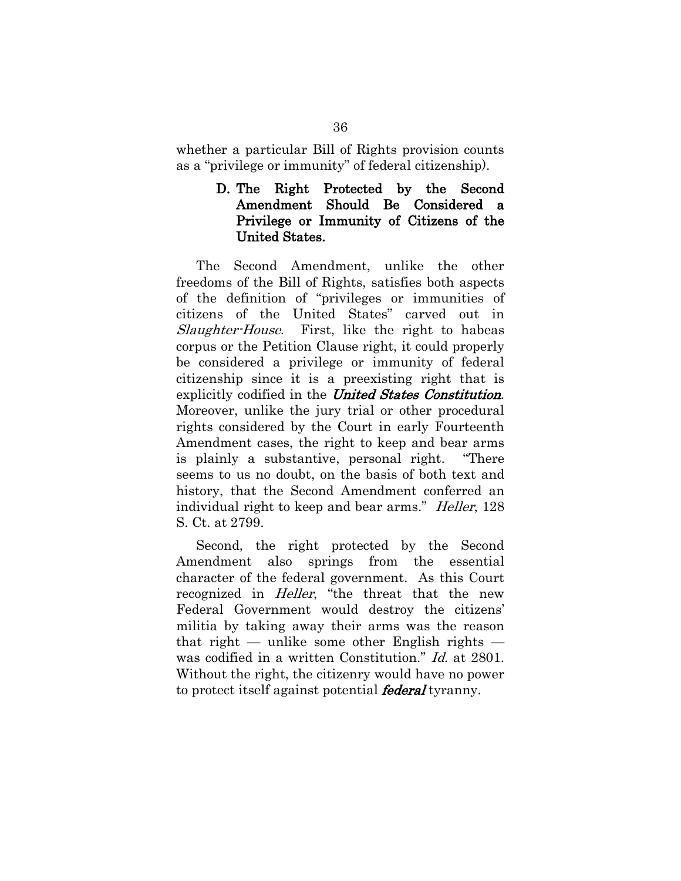whether a particular Bill of Rights provision counts as a "privilege or immunity" of federal citizenship).

#### D. The Right Protected by the Second Amendment Should Be Considered a Privilege or Immunity of Citizens of the United States.

The Second Amendment, unlike the other freedoms of the Bill of Rights, satisfies both aspects of the definition of "privileges or immunities of citizens of the United States" carved out in Slaughter-House. First, like the right to habeas corpus or the Petition Clause right, it could properly be considered a privilege or immunity of federal citizenship since it is a preexisting right that is explicitly codified in the United States Constitution. Moreover, unlike the jury trial or other procedural rights considered by the Court in early Fourteenth Amendment cases, the right to keep and bear arms is plainly a substantive, personal right. "There seems to us no doubt, on the basis of both text and history, that the Second Amendment conferred an individual right to keep and bear arms." Heller, 128 S. Ct. at 2799.

Second, the right protected by the Second Amendment also springs from the essential character of the federal government. As this Court recognized in *Heller*, "the threat that the new Federal Government would destroy the citizens' militia by taking away their arms was the reason that right — unlike some other English rights was codified in a written Constitution." Id. at 2801. Without the right, the citizenry would have no power to protect itself against potential **federal** tyranny.